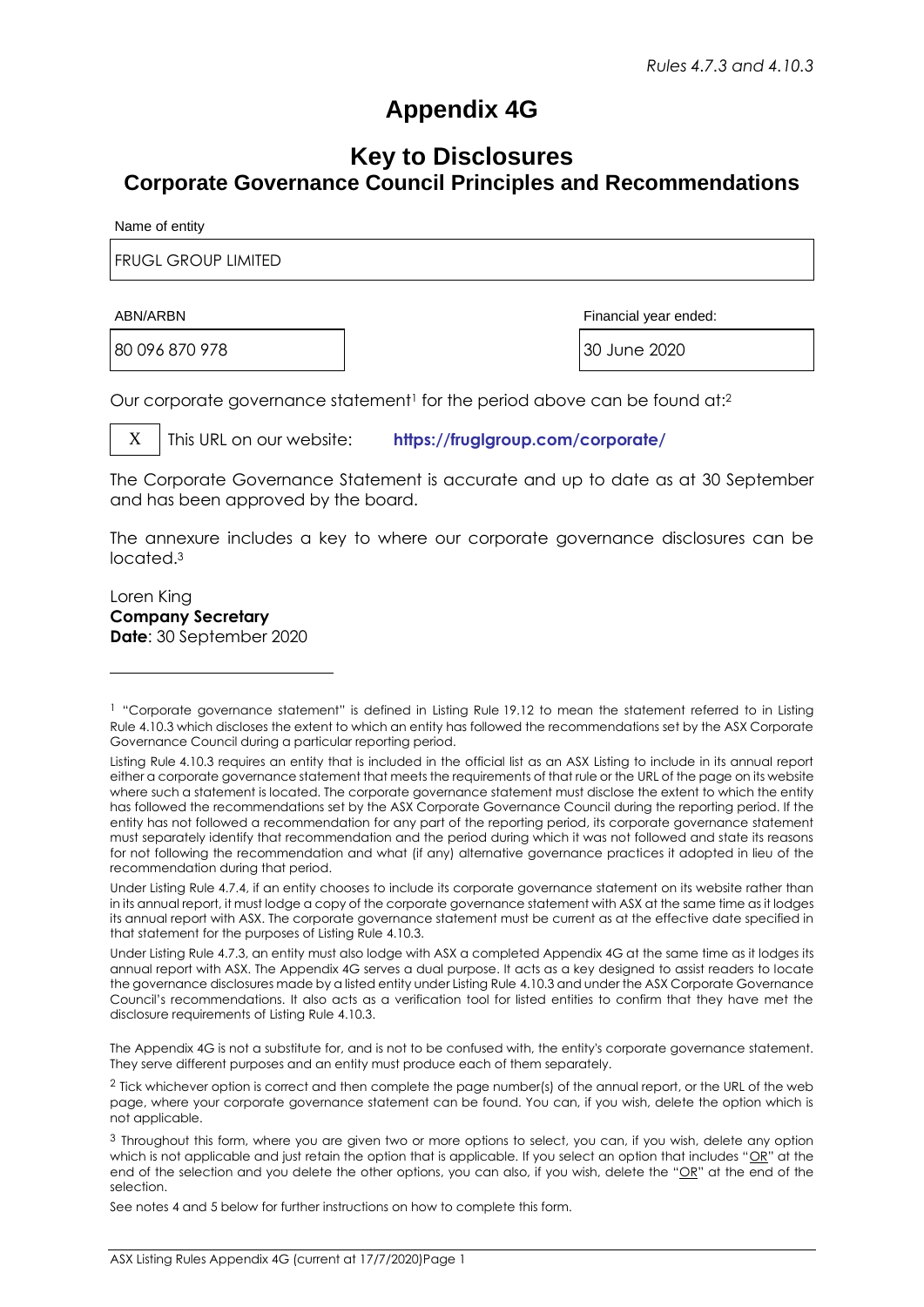# **Appendix 4G**

## **Key to Disclosures Corporate Governance Council Principles and Recommendations**

Name of entity

FRUGL GROUP LIMITED

80 096 870 978 30 June 2020

ABN/ARBN Financial year ended:

Our corporate governance statement<sup>1</sup> for the period above can be found at:<sup>2</sup>

X This URL on our website: **<https://fruglgroup.com/corporate/>**

The Corporate Governance Statement is accurate and up to date as at 30 September and has been approved by the board.

The annexure includes a key to where our corporate governance disclosures can be located.<sup>3</sup>

Loren King **Company Secretary Date**: 30 September 2020

The Appendix 4G is not a substitute for, and is not to be confused with, the entity's corporate governance statement. They serve different purposes and an entity must produce each of them separately.

See notes 4 and 5 below for further instructions on how to complete this form.

<sup>1</sup> "Corporate governance statement" is defined in Listing Rule 19.12 to mean the statement referred to in Listing Rule 4.10.3 which discloses the extent to which an entity has followed the recommendations set by the ASX Corporate Governance Council during a particular reporting period.

Listing Rule 4.10.3 requires an entity that is included in the official list as an ASX Listing to include in its annual report either a corporate governance statement that meets the requirements of that rule or the URL of the page on its website where such a statement is located. The corporate governance statement must disclose the extent to which the entity has followed the recommendations set by the ASX Corporate Governance Council during the reporting period. If the entity has not followed a recommendation for any part of the reporting period, its corporate governance statement must separately identify that recommendation and the period during which it was not followed and state its reasons for not following the recommendation and what (if any) alternative governance practices it adopted in lieu of the recommendation during that period.

Under Listing Rule 4.7.4, if an entity chooses to include its corporate governance statement on its website rather than in its annual report, it must lodge a copy of the corporate governance statement with ASX at the same time as it lodges its annual report with ASX. The corporate governance statement must be current as at the effective date specified in that statement for the purposes of Listing Rule 4.10.3.

Under Listing Rule 4.7.3, an entity must also lodge with ASX a completed Appendix 4G at the same time as it lodges its annual report with ASX. The Appendix 4G serves a dual purpose. It acts as a key designed to assist readers to locate the governance disclosures made by a listed entity under Listing Rule 4.10.3 and under the ASX Corporate Governance Council's recommendations. It also acts as a verification tool for listed entities to confirm that they have met the disclosure requirements of Listing Rule 4.10.3.

<sup>2</sup> Tick whichever option is correct and then complete the page number(s) of the annual report, or the URL of the web page, where your corporate governance statement can be found. You can, if you wish, delete the option which is not applicable.

<sup>3</sup> Throughout this form, where you are given two or more options to select, you can, if you wish, delete any option which is not applicable and just retain the option that is applicable. If you select an option that includes " $OR$ " at the end of the selection and you delete the other options, you can also, if you wish, delete the "OR" at the end of the selection.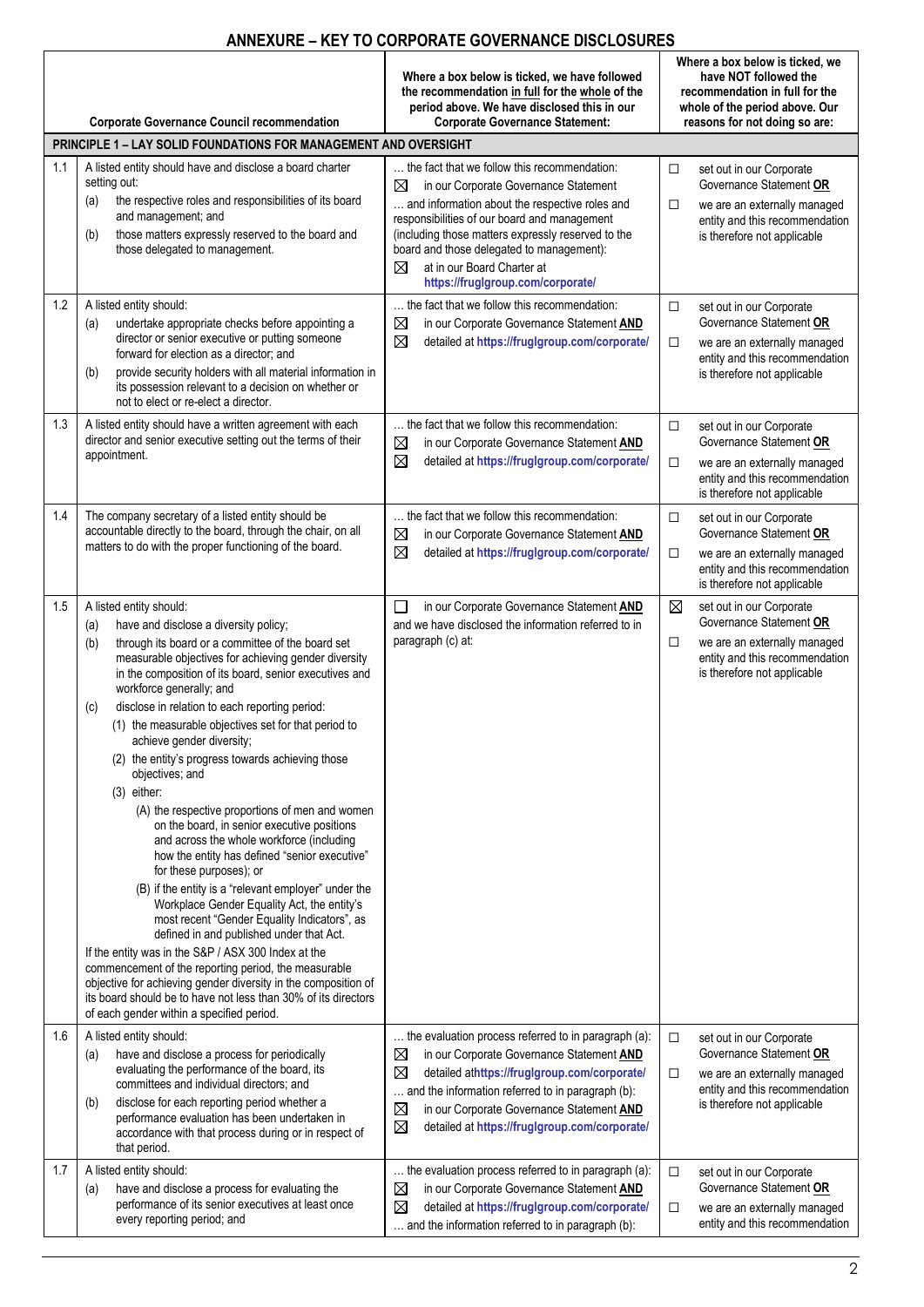### **ANNEXURE – KEY TO CORPORATE GOVERNANCE DISCLOSURES**

|     | <b>Corporate Governance Council recommendation</b>                                                                                                                                                                                                                                                                                                                                                                                                                                                                                                                                                                                                                                                                                                                                                                                                                                                                                                                                                                                                                                                                                                                                                                                                     | Where a box below is ticked, we have followed<br>the recommendation in full for the whole of the<br>period above. We have disclosed this in our<br><b>Corporate Governance Statement:</b>                                                                                                                                                                               | Where a box below is ticked, we<br>have NOT followed the<br>recommendation in full for the<br>whole of the period above. Our<br>reasons for not doing so are: |                                                                                                                                                      |  |  |  |  |
|-----|--------------------------------------------------------------------------------------------------------------------------------------------------------------------------------------------------------------------------------------------------------------------------------------------------------------------------------------------------------------------------------------------------------------------------------------------------------------------------------------------------------------------------------------------------------------------------------------------------------------------------------------------------------------------------------------------------------------------------------------------------------------------------------------------------------------------------------------------------------------------------------------------------------------------------------------------------------------------------------------------------------------------------------------------------------------------------------------------------------------------------------------------------------------------------------------------------------------------------------------------------------|-------------------------------------------------------------------------------------------------------------------------------------------------------------------------------------------------------------------------------------------------------------------------------------------------------------------------------------------------------------------------|---------------------------------------------------------------------------------------------------------------------------------------------------------------|------------------------------------------------------------------------------------------------------------------------------------------------------|--|--|--|--|
|     | PRINCIPLE 1 - LAY SOLID FOUNDATIONS FOR MANAGEMENT AND OVERSIGHT                                                                                                                                                                                                                                                                                                                                                                                                                                                                                                                                                                                                                                                                                                                                                                                                                                                                                                                                                                                                                                                                                                                                                                                       |                                                                                                                                                                                                                                                                                                                                                                         |                                                                                                                                                               |                                                                                                                                                      |  |  |  |  |
| 1.1 | A listed entity should have and disclose a board charter<br>setting out:<br>the respective roles and responsibilities of its board<br>(a)<br>and management; and<br>those matters expressly reserved to the board and<br>(b)<br>those delegated to management.                                                                                                                                                                                                                                                                                                                                                                                                                                                                                                                                                                                                                                                                                                                                                                                                                                                                                                                                                                                         | the fact that we follow this recommendation:<br>in our Corporate Governance Statement<br>⊠<br>and information about the respective roles and<br>responsibilities of our board and management<br>(including those matters expressly reserved to the<br>board and those delegated to management):<br>at in our Board Charter at<br>⊠<br>https://fruglgroup.com/corporate/ | $\Box$<br>□                                                                                                                                                   | set out in our Corporate<br>Governance Statement OR<br>we are an externally managed<br>entity and this recommendation<br>is therefore not applicable |  |  |  |  |
| 1.2 | A listed entity should:<br>undertake appropriate checks before appointing a<br>(a)<br>director or senior executive or putting someone<br>forward for election as a director; and<br>provide security holders with all material information in<br>(b)<br>its possession relevant to a decision on whether or<br>not to elect or re-elect a director.                                                                                                                                                                                                                                                                                                                                                                                                                                                                                                                                                                                                                                                                                                                                                                                                                                                                                                    | the fact that we follow this recommendation:<br>⊠<br>in our Corporate Governance Statement AND<br>⊠<br>detailed at https://fruglgroup.com/corporate/                                                                                                                                                                                                                    | $\Box$<br>$\Box$                                                                                                                                              | set out in our Corporate<br>Governance Statement OR<br>we are an externally managed<br>entity and this recommendation<br>is therefore not applicable |  |  |  |  |
| 1.3 | A listed entity should have a written agreement with each<br>director and senior executive setting out the terms of their<br>appointment.                                                                                                                                                                                                                                                                                                                                                                                                                                                                                                                                                                                                                                                                                                                                                                                                                                                                                                                                                                                                                                                                                                              | the fact that we follow this recommendation:<br>⊠<br>in our Corporate Governance Statement AND<br>⊠<br>detailed at https://fruglgroup.com/corporate/                                                                                                                                                                                                                    | $\Box$<br>$\Box$                                                                                                                                              | set out in our Corporate<br>Governance Statement OR<br>we are an externally managed<br>entity and this recommendation<br>is therefore not applicable |  |  |  |  |
| 1.4 | The company secretary of a listed entity should be<br>accountable directly to the board, through the chair, on all<br>matters to do with the proper functioning of the board.                                                                                                                                                                                                                                                                                                                                                                                                                                                                                                                                                                                                                                                                                                                                                                                                                                                                                                                                                                                                                                                                          | the fact that we follow this recommendation:<br>⊠<br>in our Corporate Governance Statement AND<br>⊠<br>detailed at https://fruglgroup.com/corporate/                                                                                                                                                                                                                    | $\Box$<br>$\Box$                                                                                                                                              | set out in our Corporate<br>Governance Statement OR<br>we are an externally managed<br>entity and this recommendation<br>is therefore not applicable |  |  |  |  |
| 1.5 | A listed entity should:<br>have and disclose a diversity policy;<br>(a)<br>through its board or a committee of the board set<br>(b)<br>measurable objectives for achieving gender diversity<br>in the composition of its board, senior executives and<br>workforce generally; and<br>disclose in relation to each reporting period:<br>(c)<br>(1) the measurable objectives set for that period to<br>achieve gender diversity;<br>(2) the entity's progress towards achieving those<br>objectives; and<br>$(3)$ either:<br>(A) the respective proportions of men and women<br>on the board, in senior executive positions<br>and across the whole workforce (including<br>how the entity has defined "senior executive"<br>for these purposes); or<br>(B) if the entity is a "relevant employer" under the<br>Workplace Gender Equality Act, the entity's<br>most recent "Gender Equality Indicators", as<br>defined in and published under that Act.<br>If the entity was in the S&P / ASX 300 Index at the<br>commencement of the reporting period, the measurable<br>objective for achieving gender diversity in the composition of<br>its board should be to have not less than 30% of its directors<br>of each gender within a specified period. | $\Box$<br>in our Corporate Governance Statement AND<br>and we have disclosed the information referred to in<br>paragraph (c) at:                                                                                                                                                                                                                                        | $\boxtimes$<br>$\Box$                                                                                                                                         | set out in our Corporate<br>Governance Statement OR<br>we are an externally managed<br>entity and this recommendation<br>is therefore not applicable |  |  |  |  |
| 1.6 | A listed entity should:<br>have and disclose a process for periodically<br>(a)<br>evaluating the performance of the board, its<br>committees and individual directors; and<br>disclose for each reporting period whether a<br>(b)<br>performance evaluation has been undertaken in<br>accordance with that process during or in respect of<br>that period.                                                                                                                                                                                                                                                                                                                                                                                                                                                                                                                                                                                                                                                                                                                                                                                                                                                                                             | the evaluation process referred to in paragraph (a):<br>⊠<br>in our Corporate Governance Statement AND<br>⊠<br>detailed athttps://fruglgroup.com/corporate/<br>and the information referred to in paragraph (b):<br>$\boxtimes$<br>in our Corporate Governance Statement AND<br>$\boxtimes$<br>detailed at https://fruglgroup.com/corporate/                            | $\Box$<br>$\Box$                                                                                                                                              | set out in our Corporate<br>Governance Statement OR<br>we are an externally managed<br>entity and this recommendation<br>is therefore not applicable |  |  |  |  |
| 1.7 | A listed entity should:<br>have and disclose a process for evaluating the<br>(a)<br>performance of its senior executives at least once<br>every reporting period; and                                                                                                                                                                                                                                                                                                                                                                                                                                                                                                                                                                                                                                                                                                                                                                                                                                                                                                                                                                                                                                                                                  | the evaluation process referred to in paragraph (a):<br>in our Corporate Governance Statement AND<br>⊠<br>⊠<br>detailed at https://fruglgroup.com/corporate/<br>and the information referred to in paragraph (b):                                                                                                                                                       | $\Box$<br>□                                                                                                                                                   | set out in our Corporate<br>Governance Statement OR<br>we are an externally managed<br>entity and this recommendation                                |  |  |  |  |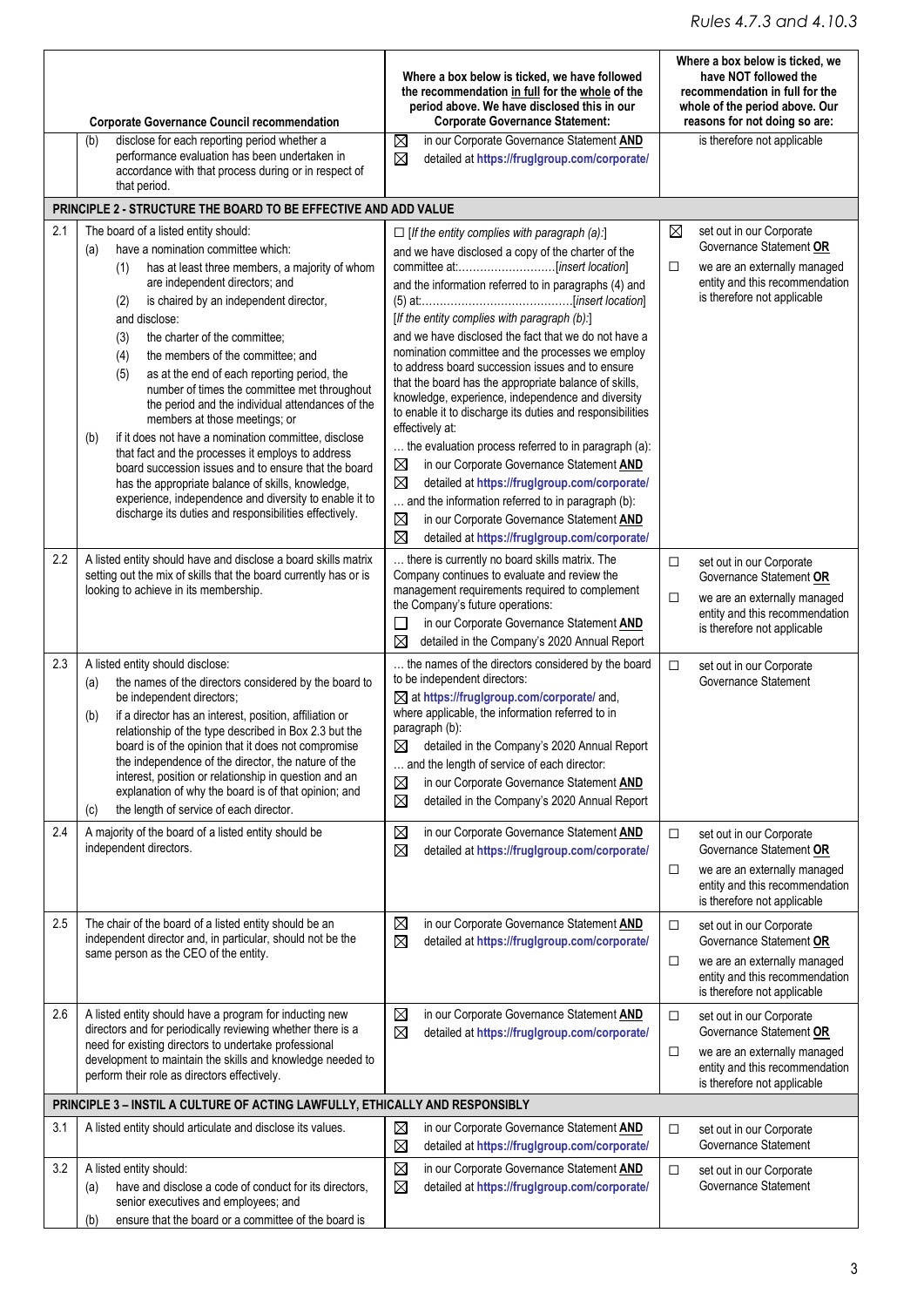#### *Rules 4.7.3 and 4.10.3*

|     |                                                                                                                                                                                                                                                                                                                                                                                                                                                                                                                                                                                                                                                                                                                                                                                                                                            | Where a box below is ticked, we have followed<br>the recommendation in full for the whole of the<br>period above. We have disclosed this in our                                                                                                                                                                                                                                                                                                                                                                                                                                                                                                                                                                                                                                                                                                        | Where a box below is ticked, we<br>have NOT followed the<br>recommendation in full for the<br>whole of the period above. Our                                        |  |
|-----|--------------------------------------------------------------------------------------------------------------------------------------------------------------------------------------------------------------------------------------------------------------------------------------------------------------------------------------------------------------------------------------------------------------------------------------------------------------------------------------------------------------------------------------------------------------------------------------------------------------------------------------------------------------------------------------------------------------------------------------------------------------------------------------------------------------------------------------------|--------------------------------------------------------------------------------------------------------------------------------------------------------------------------------------------------------------------------------------------------------------------------------------------------------------------------------------------------------------------------------------------------------------------------------------------------------------------------------------------------------------------------------------------------------------------------------------------------------------------------------------------------------------------------------------------------------------------------------------------------------------------------------------------------------------------------------------------------------|---------------------------------------------------------------------------------------------------------------------------------------------------------------------|--|
|     | <b>Corporate Governance Council recommendation</b>                                                                                                                                                                                                                                                                                                                                                                                                                                                                                                                                                                                                                                                                                                                                                                                         | <b>Corporate Governance Statement:</b>                                                                                                                                                                                                                                                                                                                                                                                                                                                                                                                                                                                                                                                                                                                                                                                                                 | reasons for not doing so are:                                                                                                                                       |  |
|     | disclose for each reporting period whether a<br>(b)<br>performance evaluation has been undertaken in<br>accordance with that process during or in respect of<br>that period.                                                                                                                                                                                                                                                                                                                                                                                                                                                                                                                                                                                                                                                               | ⊠<br>in our Corporate Governance Statement AND<br>⊠<br>detailed at https://fruglgroup.com/corporate/                                                                                                                                                                                                                                                                                                                                                                                                                                                                                                                                                                                                                                                                                                                                                   | is therefore not applicable                                                                                                                                         |  |
|     | PRINCIPLE 2 - STRUCTURE THE BOARD TO BE EFFECTIVE AND ADD VALUE                                                                                                                                                                                                                                                                                                                                                                                                                                                                                                                                                                                                                                                                                                                                                                            |                                                                                                                                                                                                                                                                                                                                                                                                                                                                                                                                                                                                                                                                                                                                                                                                                                                        |                                                                                                                                                                     |  |
| 2.1 | The board of a listed entity should:                                                                                                                                                                                                                                                                                                                                                                                                                                                                                                                                                                                                                                                                                                                                                                                                       | $\Box$ [If the entity complies with paragraph (a):]                                                                                                                                                                                                                                                                                                                                                                                                                                                                                                                                                                                                                                                                                                                                                                                                    | ⊠<br>set out in our Corporate                                                                                                                                       |  |
|     | have a nomination committee which:<br>(a)<br>has at least three members, a majority of whom<br>(1)<br>are independent directors; and<br>is chaired by an independent director,<br>(2)<br>and disclose:<br>the charter of the committee;<br>(3)<br>the members of the committee; and<br>(4)<br>(5)<br>as at the end of each reporting period, the<br>number of times the committee met throughout<br>the period and the individual attendances of the<br>members at those meetings; or<br>if it does not have a nomination committee, disclose<br>(b)<br>that fact and the processes it employs to address<br>board succession issues and to ensure that the board<br>has the appropriate balance of skills, knowledge,<br>experience, independence and diversity to enable it to<br>discharge its duties and responsibilities effectively. | and we have disclosed a copy of the charter of the<br>and the information referred to in paragraphs (4) and<br>[If the entity complies with paragraph (b):]<br>and we have disclosed the fact that we do not have a<br>nomination committee and the processes we employ<br>to address board succession issues and to ensure<br>that the board has the appropriate balance of skills,<br>knowledge, experience, independence and diversity<br>to enable it to discharge its duties and responsibilities<br>effectively at:<br>the evaluation process referred to in paragraph (a):<br>in our Corporate Governance Statement AND<br>⊠<br>⊠<br>detailed at https://fruglgroup.com/corporate/<br>and the information referred to in paragraph (b):<br>in our Corporate Governance Statement AND<br>⊠<br>⊠<br>detailed at https://fruglgroup.com/corporate/ | Governance Statement OR<br>we are an externally managed<br>□<br>entity and this recommendation<br>is therefore not applicable                                       |  |
| 2.2 | A listed entity should have and disclose a board skills matrix<br>setting out the mix of skills that the board currently has or is<br>looking to achieve in its membership.                                                                                                                                                                                                                                                                                                                                                                                                                                                                                                                                                                                                                                                                | there is currently no board skills matrix. The<br>Company continues to evaluate and review the<br>management requirements required to complement<br>the Company's future operations:<br>in our Corporate Governance Statement AND<br>$\Box$<br>detailed in the Company's 2020 Annual Report<br>⊠                                                                                                                                                                                                                                                                                                                                                                                                                                                                                                                                                       | set out in our Corporate<br>$\Box$<br>Governance Statement OR<br>we are an externally managed<br>□<br>entity and this recommendation<br>is therefore not applicable |  |
| 2.3 | A listed entity should disclose:<br>the names of the directors considered by the board to<br>(a)<br>be independent directors;<br>if a director has an interest, position, affiliation or<br>(b)<br>relationship of the type described in Box 2.3 but the<br>board is of the opinion that it does not compromise<br>the independence of the director, the nature of the<br>interest, position or relationship in question and an<br>explanation of why the board is of that opinion; and<br>the length of service of each director.<br>(c)                                                                                                                                                                                                                                                                                                  | the names of the directors considered by the board<br>to be independent directors:<br>⊠ at https://fruglgroup.com/corporate/ and,<br>where applicable, the information referred to in<br>paragraph (b):<br>$\boxtimes$ detailed in the Company's 2020 Annual Report<br>and the length of service of each director:<br>in our Corporate Governance Statement AND<br>⊠<br>detailed in the Company's 2020 Annual Report<br>⊠                                                                                                                                                                                                                                                                                                                                                                                                                              | $\Box$<br>set out in our Corporate<br>Governance Statement                                                                                                          |  |
| 2.4 | A majority of the board of a listed entity should be<br>independent directors.                                                                                                                                                                                                                                                                                                                                                                                                                                                                                                                                                                                                                                                                                                                                                             | $\boxtimes$<br>in our Corporate Governance Statement AND<br>⊠<br>detailed at https://fruglgroup.com/corporate/                                                                                                                                                                                                                                                                                                                                                                                                                                                                                                                                                                                                                                                                                                                                         | set out in our Corporate<br>□<br>Governance Statement OR<br>we are an externally managed<br>$\Box$<br>entity and this recommendation<br>is therefore not applicable |  |
| 2.5 | The chair of the board of a listed entity should be an<br>independent director and, in particular, should not be the<br>same person as the CEO of the entity.                                                                                                                                                                                                                                                                                                                                                                                                                                                                                                                                                                                                                                                                              | ⊠<br>in our Corporate Governance Statement AND<br>⊠<br>detailed at https://fruglgroup.com/corporate/                                                                                                                                                                                                                                                                                                                                                                                                                                                                                                                                                                                                                                                                                                                                                   | $\Box$<br>set out in our Corporate<br>Governance Statement OR<br>we are an externally managed<br>□<br>entity and this recommendation<br>is therefore not applicable |  |
| 2.6 | A listed entity should have a program for inducting new<br>directors and for periodically reviewing whether there is a<br>need for existing directors to undertake professional<br>development to maintain the skills and knowledge needed to<br>perform their role as directors effectively.                                                                                                                                                                                                                                                                                                                                                                                                                                                                                                                                              | ⊠<br>in our Corporate Governance Statement AND<br>$\boxtimes$<br>detailed at https://fruglgroup.com/corporate/                                                                                                                                                                                                                                                                                                                                                                                                                                                                                                                                                                                                                                                                                                                                         | $\Box$<br>set out in our Corporate<br>Governance Statement OR<br>we are an externally managed<br>□<br>entity and this recommendation<br>is therefore not applicable |  |
|     | PRINCIPLE 3 - INSTIL A CULTURE OF ACTING LAWFULLY, ETHICALLY AND RESPONSIBLY                                                                                                                                                                                                                                                                                                                                                                                                                                                                                                                                                                                                                                                                                                                                                               |                                                                                                                                                                                                                                                                                                                                                                                                                                                                                                                                                                                                                                                                                                                                                                                                                                                        |                                                                                                                                                                     |  |
| 3.1 | A listed entity should articulate and disclose its values.                                                                                                                                                                                                                                                                                                                                                                                                                                                                                                                                                                                                                                                                                                                                                                                 | in our Corporate Governance Statement AND<br>⊠<br>$\boxtimes$<br>detailed at https://fruglgroup.com/corporate/                                                                                                                                                                                                                                                                                                                                                                                                                                                                                                                                                                                                                                                                                                                                         | set out in our Corporate<br>□<br>Governance Statement                                                                                                               |  |
| 3.2 | A listed entity should:<br>have and disclose a code of conduct for its directors,<br>(a)<br>senior executives and employees; and<br>ensure that the board or a committee of the board is<br>(b)                                                                                                                                                                                                                                                                                                                                                                                                                                                                                                                                                                                                                                            | $\boxtimes$<br>in our Corporate Governance Statement AND<br>$\boxtimes$<br>detailed at https://fruglgroup.com/corporate/                                                                                                                                                                                                                                                                                                                                                                                                                                                                                                                                                                                                                                                                                                                               | $\Box$<br>set out in our Corporate<br>Governance Statement                                                                                                          |  |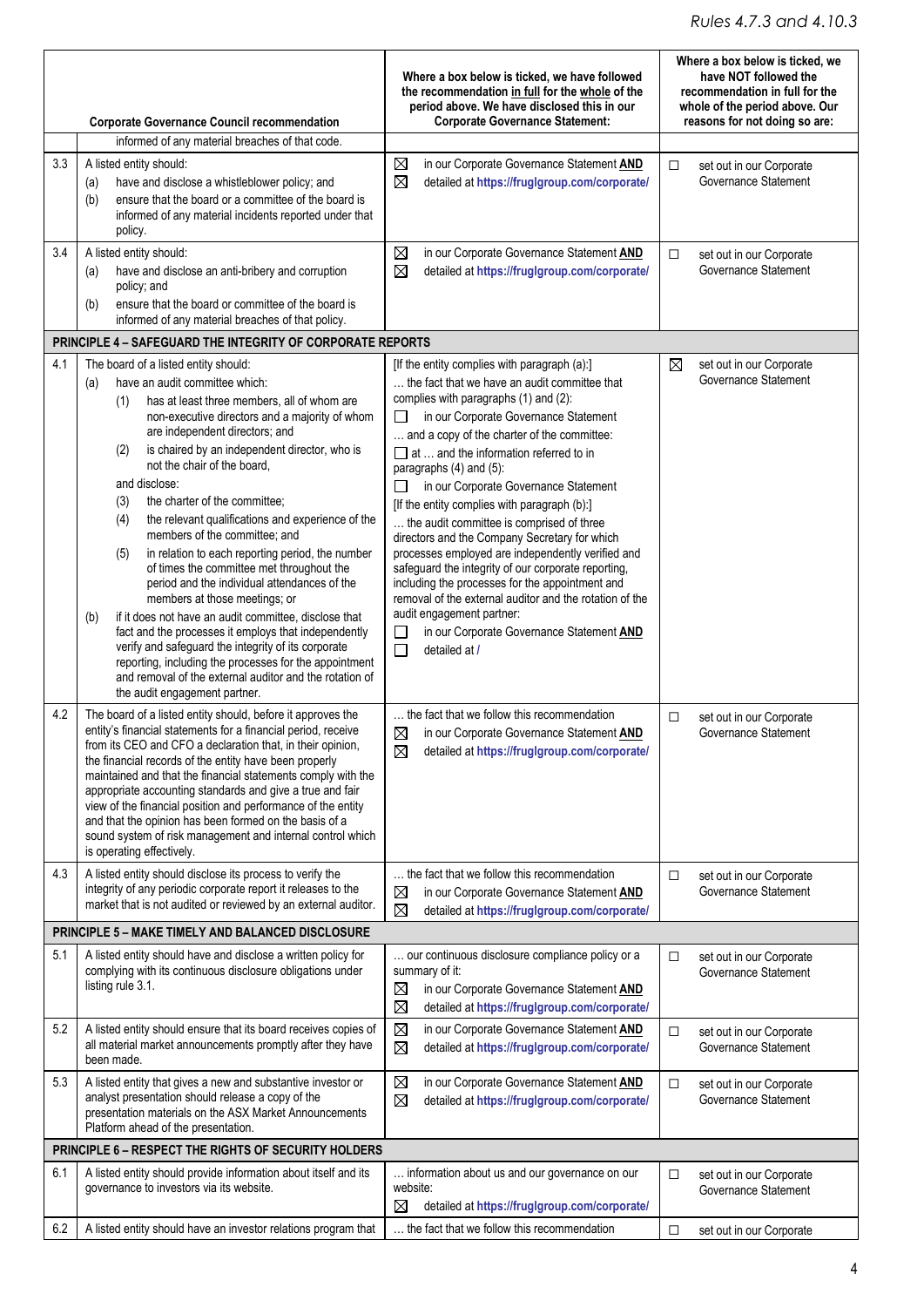|     |                                                                                                                             | Where a box below is ticked, we have followed<br>the recommendation in full for the whole of the<br>period above. We have disclosed this in our | Where a box below is ticked, we<br>have NOT followed the<br>recommendation in full for the<br>whole of the period above. Our |  |
|-----|-----------------------------------------------------------------------------------------------------------------------------|-------------------------------------------------------------------------------------------------------------------------------------------------|------------------------------------------------------------------------------------------------------------------------------|--|
|     | <b>Corporate Governance Council recommendation</b>                                                                          | <b>Corporate Governance Statement:</b>                                                                                                          | reasons for not doing so are:                                                                                                |  |
|     | informed of any material breaches of that code.                                                                             |                                                                                                                                                 |                                                                                                                              |  |
| 3.3 | A listed entity should:<br>have and disclose a whistleblower policy; and<br>(a)                                             | ⊠<br>in our Corporate Governance Statement AND<br>$\boxtimes$<br>detailed at https://fruglgroup.com/corporate/                                  | $\Box$<br>set out in our Corporate<br>Governance Statement                                                                   |  |
|     | ensure that the board or a committee of the board is<br>(b)                                                                 |                                                                                                                                                 |                                                                                                                              |  |
|     | informed of any material incidents reported under that                                                                      |                                                                                                                                                 |                                                                                                                              |  |
|     | policy.                                                                                                                     |                                                                                                                                                 |                                                                                                                              |  |
| 3.4 | A listed entity should:                                                                                                     | $\boxtimes$<br>in our Corporate Governance Statement AND                                                                                        | $\Box$<br>set out in our Corporate<br>Governance Statement                                                                   |  |
|     | have and disclose an anti-bribery and corruption<br>(a)<br>policy; and                                                      | ⊠<br>detailed at https://fruglgroup.com/corporate/                                                                                              |                                                                                                                              |  |
|     | ensure that the board or committee of the board is<br>(b)                                                                   |                                                                                                                                                 |                                                                                                                              |  |
|     | informed of any material breaches of that policy.                                                                           |                                                                                                                                                 |                                                                                                                              |  |
|     | <b>PRINCIPLE 4 - SAFEGUARD THE INTEGRITY OF CORPORATE REPORTS</b>                                                           |                                                                                                                                                 |                                                                                                                              |  |
| 4.1 | The board of a listed entity should:                                                                                        | [If the entity complies with paragraph (a):]                                                                                                    | $\boxtimes$<br>set out in our Corporate                                                                                      |  |
|     | have an audit committee which:<br>(a)                                                                                       | the fact that we have an audit committee that                                                                                                   | Governance Statement                                                                                                         |  |
|     | has at least three members, all of whom are<br>(1)<br>non-executive directors and a majority of whom                        | complies with paragraphs (1) and (2):<br>in our Corporate Governance Statement<br>$\perp$                                                       |                                                                                                                              |  |
|     | are independent directors; and                                                                                              | and a copy of the charter of the committee:                                                                                                     |                                                                                                                              |  |
|     | is chaired by an independent director, who is<br>(2)                                                                        | $\Box$ at  and the information referred to in                                                                                                   |                                                                                                                              |  |
|     | not the chair of the board.                                                                                                 | paragraphs (4) and (5):                                                                                                                         |                                                                                                                              |  |
|     | and disclose:<br>the charter of the committee;<br>(3)                                                                       | in our Corporate Governance Statement<br>[If the entity complies with paragraph (b):]                                                           |                                                                                                                              |  |
|     | the relevant qualifications and experience of the<br>(4)                                                                    | the audit committee is comprised of three                                                                                                       |                                                                                                                              |  |
|     | members of the committee; and                                                                                               | directors and the Company Secretary for which                                                                                                   |                                                                                                                              |  |
|     | in relation to each reporting period, the number<br>(5)                                                                     | processes employed are independently verified and                                                                                               |                                                                                                                              |  |
|     | of times the committee met throughout the<br>period and the individual attendances of the                                   | safeguard the integrity of our corporate reporting,<br>including the processes for the appointment and                                          |                                                                                                                              |  |
|     | members at those meetings; or                                                                                               | removal of the external auditor and the rotation of the                                                                                         |                                                                                                                              |  |
|     | if it does not have an audit committee, disclose that<br>(b)                                                                | audit engagement partner:                                                                                                                       |                                                                                                                              |  |
|     | fact and the processes it employs that independently<br>verify and safeguard the integrity of its corporate                 | in our Corporate Governance Statement AND<br>□<br>$\Box$<br>detailed at /                                                                       |                                                                                                                              |  |
|     | reporting, including the processes for the appointment                                                                      |                                                                                                                                                 |                                                                                                                              |  |
|     | and removal of the external auditor and the rotation of<br>the audit engagement partner.                                    |                                                                                                                                                 |                                                                                                                              |  |
| 4.2 | The board of a listed entity should, before it approves the                                                                 | the fact that we follow this recommendation                                                                                                     | set out in our Corporate<br>$\Box$                                                                                           |  |
|     | entity's financial statements for a financial period, receive                                                               | in our Corporate Governance Statement AND<br>⊠                                                                                                  | Governance Statement                                                                                                         |  |
|     | from its CEO and CFO a declaration that, in their opinion,<br>the financial records of the entity have been properly        | $\boxtimes$<br>detailed at https://fruglgroup.com/corporate/                                                                                    |                                                                                                                              |  |
|     | maintained and that the financial statements comply with the                                                                |                                                                                                                                                 |                                                                                                                              |  |
|     | appropriate accounting standards and give a true and fair                                                                   |                                                                                                                                                 |                                                                                                                              |  |
|     | view of the financial position and performance of the entity<br>and that the opinion has been formed on the basis of a      |                                                                                                                                                 |                                                                                                                              |  |
|     | sound system of risk management and internal control which                                                                  |                                                                                                                                                 |                                                                                                                              |  |
|     | is operating effectively.                                                                                                   |                                                                                                                                                 |                                                                                                                              |  |
| 4.3 | A listed entity should disclose its process to verify the<br>integrity of any periodic corporate report it releases to the  | the fact that we follow this recommendation                                                                                                     | □<br>set out in our Corporate<br>Governance Statement                                                                        |  |
|     | market that is not audited or reviewed by an external auditor.                                                              | ⊠<br>in our Corporate Governance Statement AND<br>$\boxtimes$<br>detailed at https://fruglgroup.com/corporate/                                  |                                                                                                                              |  |
|     | <b>PRINCIPLE 5 - MAKE TIMELY AND BALANCED DISCLOSURE</b>                                                                    |                                                                                                                                                 |                                                                                                                              |  |
| 5.1 |                                                                                                                             |                                                                                                                                                 |                                                                                                                              |  |
|     | A listed entity should have and disclose a written policy for<br>complying with its continuous disclosure obligations under | our continuous disclosure compliance policy or a<br>summary of it:                                                                              | set out in our Corporate<br>□<br>Governance Statement                                                                        |  |
|     | listing rule 3.1.                                                                                                           | in our Corporate Governance Statement AND<br>⊠                                                                                                  |                                                                                                                              |  |
|     |                                                                                                                             | $\boxtimes$<br>detailed at https://fruglgroup.com/corporate/                                                                                    |                                                                                                                              |  |
| 5.2 | A listed entity should ensure that its board receives copies of                                                             | $\boxtimes$<br>in our Corporate Governance Statement AND                                                                                        | $\Box$<br>set out in our Corporate                                                                                           |  |
|     | all material market announcements promptly after they have<br>been made.                                                    | ⊠<br>detailed at https://fruglgroup.com/corporate/                                                                                              | Governance Statement                                                                                                         |  |
| 5.3 | A listed entity that gives a new and substantive investor or                                                                | ⊠<br>in our Corporate Governance Statement AND                                                                                                  |                                                                                                                              |  |
|     | analyst presentation should release a copy of the                                                                           | $\boxtimes$<br>detailed at https://fruglgroup.com/corporate/                                                                                    | set out in our Corporate<br>$\Box$<br>Governance Statement                                                                   |  |
|     | presentation materials on the ASX Market Announcements                                                                      |                                                                                                                                                 |                                                                                                                              |  |
|     | Platform ahead of the presentation.                                                                                         |                                                                                                                                                 |                                                                                                                              |  |
|     | PRINCIPLE 6 - RESPECT THE RIGHTS OF SECURITY HOLDERS                                                                        |                                                                                                                                                 |                                                                                                                              |  |
| 6.1 | A listed entity should provide information about itself and its<br>governance to investors via its website.                 | information about us and our governance on our<br>website:                                                                                      | $\Box$<br>set out in our Corporate                                                                                           |  |
|     |                                                                                                                             | ⊠<br>detailed at https://fruglgroup.com/corporate/                                                                                              | Governance Statement                                                                                                         |  |
| 6.2 | A listed entity should have an investor relations program that                                                              | the fact that we follow this recommendation                                                                                                     | □                                                                                                                            |  |
|     |                                                                                                                             |                                                                                                                                                 | set out in our Corporate                                                                                                     |  |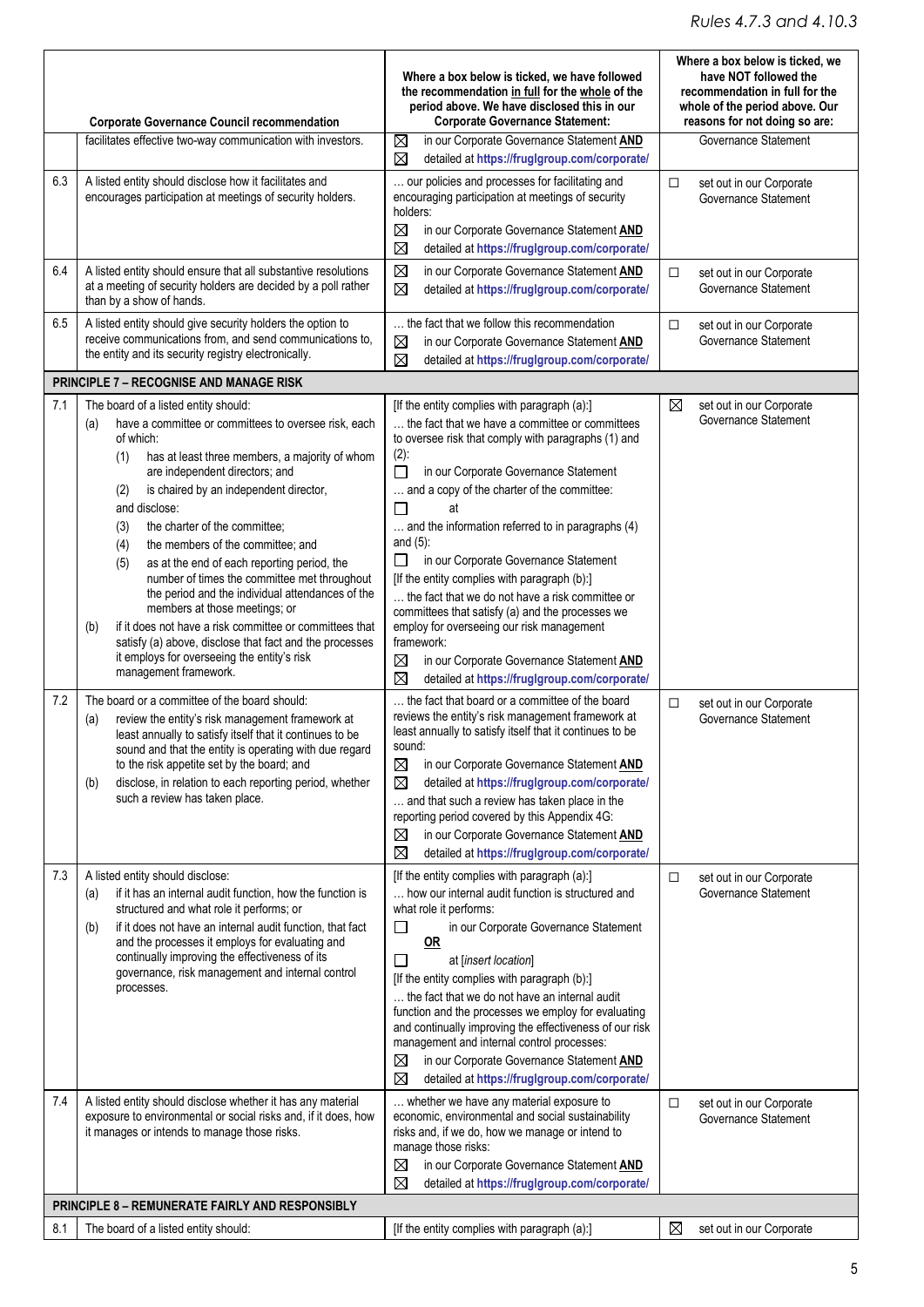|            |                                                                                                                                                                                                                                                                                                                                                                                                                                                                                                                                                                                                                                                                                                                                                                                                                                                                                                                                                                                                                                                                                                                                                       | Where a box below is ticked, we have followed<br>the recommendation in full for the whole of the<br>period above. We have disclosed this in our                                                                                                                                                                                                                                                                                                                                                                                                                                                                                                                                                                                                                                                                                                                                                                                                                                                                                                                                                                 | Where a box below is ticked, we<br>have NOT followed the<br>recommendation in full for the<br>whole of the period above. Our |  |
|------------|-------------------------------------------------------------------------------------------------------------------------------------------------------------------------------------------------------------------------------------------------------------------------------------------------------------------------------------------------------------------------------------------------------------------------------------------------------------------------------------------------------------------------------------------------------------------------------------------------------------------------------------------------------------------------------------------------------------------------------------------------------------------------------------------------------------------------------------------------------------------------------------------------------------------------------------------------------------------------------------------------------------------------------------------------------------------------------------------------------------------------------------------------------|-----------------------------------------------------------------------------------------------------------------------------------------------------------------------------------------------------------------------------------------------------------------------------------------------------------------------------------------------------------------------------------------------------------------------------------------------------------------------------------------------------------------------------------------------------------------------------------------------------------------------------------------------------------------------------------------------------------------------------------------------------------------------------------------------------------------------------------------------------------------------------------------------------------------------------------------------------------------------------------------------------------------------------------------------------------------------------------------------------------------|------------------------------------------------------------------------------------------------------------------------------|--|
|            | <b>Corporate Governance Council recommendation</b><br>facilitates effective two-way communication with investors.                                                                                                                                                                                                                                                                                                                                                                                                                                                                                                                                                                                                                                                                                                                                                                                                                                                                                                                                                                                                                                     | <b>Corporate Governance Statement:</b><br>⊠<br>in our Corporate Governance Statement AND<br>⊠<br>detailed at https://fruglgroup.com/corporate/                                                                                                                                                                                                                                                                                                                                                                                                                                                                                                                                                                                                                                                                                                                                                                                                                                                                                                                                                                  | reasons for not doing so are:<br>Governance Statement                                                                        |  |
| 6.3        | A listed entity should disclose how it facilitates and<br>encourages participation at meetings of security holders.                                                                                                                                                                                                                                                                                                                                                                                                                                                                                                                                                                                                                                                                                                                                                                                                                                                                                                                                                                                                                                   | our policies and processes for facilitating and<br>encouraging participation at meetings of security<br>holders:<br>⊠<br>in our Corporate Governance Statement AND<br>$\boxtimes$<br>detailed at https://fruglgroup.com/corporate/                                                                                                                                                                                                                                                                                                                                                                                                                                                                                                                                                                                                                                                                                                                                                                                                                                                                              | set out in our Corporate<br>$\Box$<br>Governance Statement                                                                   |  |
| 6.4        | A listed entity should ensure that all substantive resolutions<br>at a meeting of security holders are decided by a poll rather<br>than by a show of hands.                                                                                                                                                                                                                                                                                                                                                                                                                                                                                                                                                                                                                                                                                                                                                                                                                                                                                                                                                                                           | ⊠<br>in our Corporate Governance Statement AND<br>⊠<br>detailed at https://fruglgroup.com/corporate/                                                                                                                                                                                                                                                                                                                                                                                                                                                                                                                                                                                                                                                                                                                                                                                                                                                                                                                                                                                                            | set out in our Corporate<br>$\Box$<br>Governance Statement                                                                   |  |
| 6.5        | A listed entity should give security holders the option to<br>receive communications from, and send communications to,<br>the entity and its security registry electronically.                                                                                                                                                                                                                                                                                                                                                                                                                                                                                                                                                                                                                                                                                                                                                                                                                                                                                                                                                                        | the fact that we follow this recommendation<br>in our Corporate Governance Statement AND<br>⊠<br>⊠<br>detailed at https://fruglgroup.com/corporate/                                                                                                                                                                                                                                                                                                                                                                                                                                                                                                                                                                                                                                                                                                                                                                                                                                                                                                                                                             | $\Box$<br>set out in our Corporate<br>Governance Statement                                                                   |  |
|            | <b>PRINCIPLE 7 - RECOGNISE AND MANAGE RISK</b>                                                                                                                                                                                                                                                                                                                                                                                                                                                                                                                                                                                                                                                                                                                                                                                                                                                                                                                                                                                                                                                                                                        |                                                                                                                                                                                                                                                                                                                                                                                                                                                                                                                                                                                                                                                                                                                                                                                                                                                                                                                                                                                                                                                                                                                 |                                                                                                                              |  |
| 7.1<br>7.2 | The board of a listed entity should:<br>have a committee or committees to oversee risk, each<br>(a)<br>of which:<br>has at least three members, a majority of whom<br>(1)<br>are independent directors; and<br>is chaired by an independent director,<br>(2)<br>and disclose:<br>the charter of the committee:<br>(3)<br>the members of the committee; and<br>(4)<br>(5)<br>as at the end of each reporting period, the<br>number of times the committee met throughout<br>the period and the individual attendances of the<br>members at those meetings; or<br>if it does not have a risk committee or committees that<br>(b)<br>satisfy (a) above, disclose that fact and the processes<br>it employs for overseeing the entity's risk<br>management framework.<br>The board or a committee of the board should:<br>review the entity's risk management framework at<br>(a)<br>least annually to satisfy itself that it continues to be<br>sound and that the entity is operating with due regard<br>to the risk appetite set by the board; and<br>disclose, in relation to each reporting period, whether<br>(b)<br>such a review has taken place. | [If the entity complies with paragraph (a):]<br>the fact that we have a committee or committees<br>to oversee risk that comply with paragraphs (1) and<br>$(2)$ :<br>П<br>in our Corporate Governance Statement<br>and a copy of the charter of the committee:<br>at<br>and the information referred to in paragraphs (4)<br>and $(5)$ :<br>in our Corporate Governance Statement<br>$\perp$<br>[If the entity complies with paragraph (b):]<br>the fact that we do not have a risk committee or<br>committees that satisfy (a) and the processes we<br>employ for overseeing our risk management<br>framework:<br>⊠<br>in our Corporate Governance Statement AND<br>⊠<br>detailed at https://fruglgroup.com/corporate/<br>the fact that board or a committee of the board<br>reviews the entity's risk management framework at<br>least annually to satisfy itself that it continues to be<br>sound:<br>⊠<br>in our Corporate Governance Statement AND<br>⊠<br>detailed at https://fruglgroup.com/corporate/<br>and that such a review has taken place in the<br>reporting period covered by this Appendix 4G: | $\boxtimes$<br>set out in our Corporate<br>Governance Statement<br>set out in our Corporate<br>□<br>Governance Statement     |  |
| 7.3<br>7.4 | A listed entity should disclose:<br>if it has an internal audit function, how the function is<br>(a)<br>structured and what role it performs; or<br>if it does not have an internal audit function, that fact<br>(b)<br>and the processes it employs for evaluating and<br>continually improving the effectiveness of its<br>governance, risk management and internal control<br>processes.<br>A listed entity should disclose whether it has any material<br>exposure to environmental or social risks and, if it does, how<br>it manages or intends to manage those risks.                                                                                                                                                                                                                                                                                                                                                                                                                                                                                                                                                                          | in our Corporate Governance Statement AND<br>⊠<br>⊠<br>detailed at https://fruglgroup.com/corporate/<br>[If the entity complies with paragraph (a):]<br>how our internal audit function is structured and<br>what role it performs:<br>$\Box$<br>in our Corporate Governance Statement<br>0R<br>at [insert location]<br>ப<br>[If the entity complies with paragraph (b):]<br>the fact that we do not have an internal audit<br>function and the processes we employ for evaluating<br>and continually improving the effectiveness of our risk<br>management and internal control processes:<br>in our Corporate Governance Statement AND<br>⊠<br>⊠<br>detailed at https://fruglgroup.com/corporate/<br>whether we have any material exposure to<br>economic, environmental and social sustainability<br>risks and, if we do, how we manage or intend to<br>manage those risks:<br>in our Corporate Governance Statement AND<br>⊠                                                                                                                                                                                | $\Box$<br>set out in our Corporate<br>Governance Statement<br>set out in our Corporate<br>□<br>Governance Statement          |  |
|            |                                                                                                                                                                                                                                                                                                                                                                                                                                                                                                                                                                                                                                                                                                                                                                                                                                                                                                                                                                                                                                                                                                                                                       | detailed at https://fruglgroup.com/corporate/<br>⊠                                                                                                                                                                                                                                                                                                                                                                                                                                                                                                                                                                                                                                                                                                                                                                                                                                                                                                                                                                                                                                                              |                                                                                                                              |  |
| 8.1        | <b>PRINCIPLE 8 - REMUNERATE FAIRLY AND RESPONSIBLY</b><br>The board of a listed entity should:                                                                                                                                                                                                                                                                                                                                                                                                                                                                                                                                                                                                                                                                                                                                                                                                                                                                                                                                                                                                                                                        | [If the entity complies with paragraph (a):]                                                                                                                                                                                                                                                                                                                                                                                                                                                                                                                                                                                                                                                                                                                                                                                                                                                                                                                                                                                                                                                                    | $\boxtimes$<br>set out in our Corporate                                                                                      |  |
|            |                                                                                                                                                                                                                                                                                                                                                                                                                                                                                                                                                                                                                                                                                                                                                                                                                                                                                                                                                                                                                                                                                                                                                       |                                                                                                                                                                                                                                                                                                                                                                                                                                                                                                                                                                                                                                                                                                                                                                                                                                                                                                                                                                                                                                                                                                                 |                                                                                                                              |  |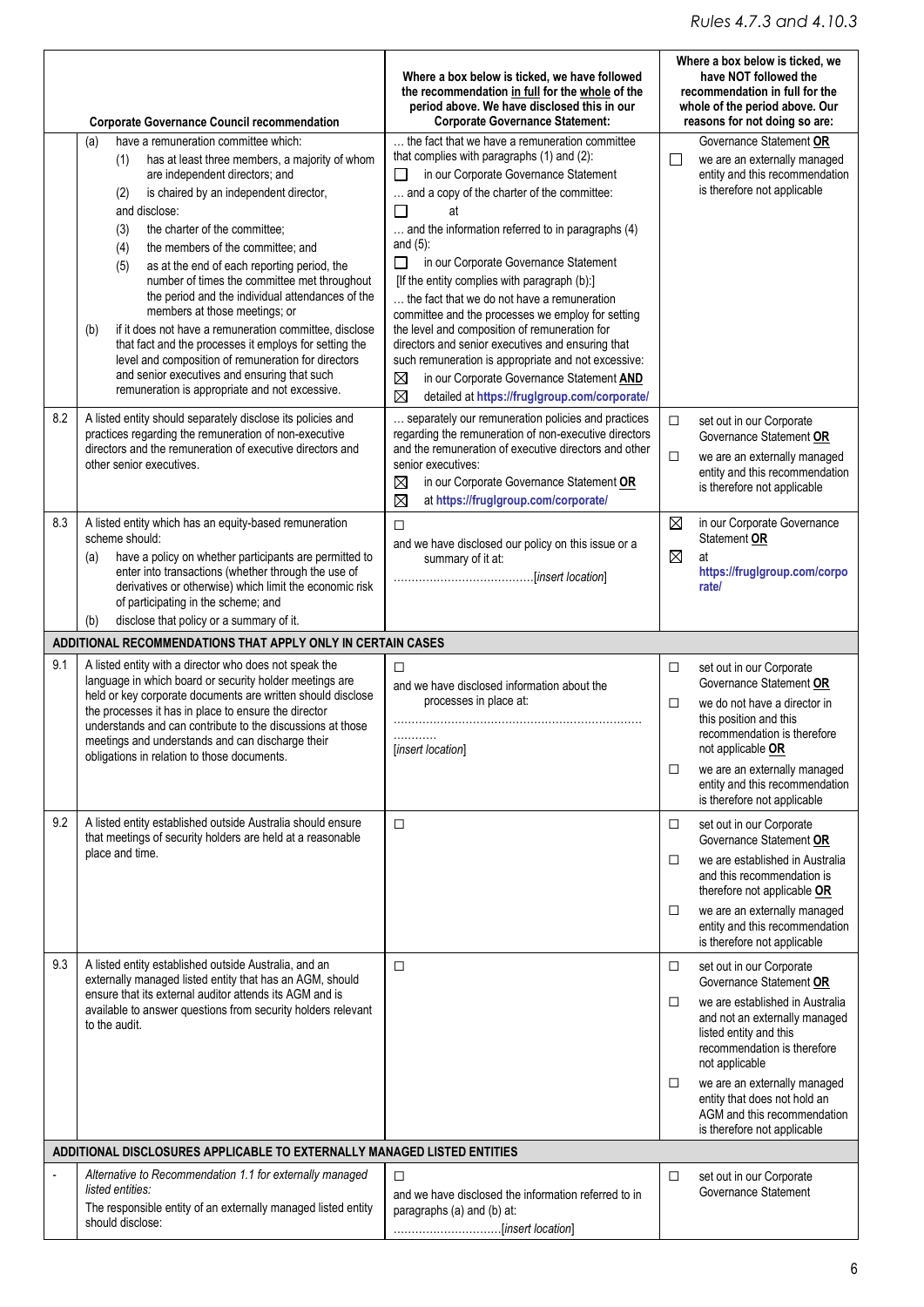|     | <b>Corporate Governance Council recommendation</b>                                                                                                                                                                                                                                                                                                                                                                                                                                                                                                                                                                                                                                                                                                                          | Where a box below is ticked, we have followed<br>the recommendation in full for the whole of the<br>period above. We have disclosed this in our<br><b>Corporate Governance Statement:</b>                                                                                                                                                                                                                                                                                                                                                                                                                                                                                                                                                            |                       | Where a box below is ticked, we<br>have NOT followed the<br>recommendation in full for the<br>whole of the period above. Our<br>reasons for not doing so are:                                                                                                                                                                    |
|-----|-----------------------------------------------------------------------------------------------------------------------------------------------------------------------------------------------------------------------------------------------------------------------------------------------------------------------------------------------------------------------------------------------------------------------------------------------------------------------------------------------------------------------------------------------------------------------------------------------------------------------------------------------------------------------------------------------------------------------------------------------------------------------------|------------------------------------------------------------------------------------------------------------------------------------------------------------------------------------------------------------------------------------------------------------------------------------------------------------------------------------------------------------------------------------------------------------------------------------------------------------------------------------------------------------------------------------------------------------------------------------------------------------------------------------------------------------------------------------------------------------------------------------------------------|-----------------------|----------------------------------------------------------------------------------------------------------------------------------------------------------------------------------------------------------------------------------------------------------------------------------------------------------------------------------|
|     | have a remuneration committee which:<br>(a)<br>has at least three members, a majority of whom<br>(1)<br>are independent directors; and<br>is chaired by an independent director,<br>(2)<br>and disclose:<br>the charter of the committee;<br>(3)<br>the members of the committee; and<br>(4)<br>as at the end of each reporting period, the<br>(5)<br>number of times the committee met throughout<br>the period and the individual attendances of the<br>members at those meetings; or<br>if it does not have a remuneration committee, disclose<br>(b)<br>that fact and the processes it employs for setting the<br>level and composition of remuneration for directors<br>and senior executives and ensuring that such<br>remuneration is appropriate and not excessive. | the fact that we have a remuneration committee<br>that complies with paragraphs (1) and (2):<br>in our Corporate Governance Statement<br>$\Box$<br>and a copy of the charter of the committee:<br>П<br>at<br>and the information referred to in paragraphs (4)<br>and $(5)$ :<br>in our Corporate Governance Statement<br>П<br>[If the entity complies with paragraph (b):]<br>the fact that we do not have a remuneration<br>committee and the processes we employ for setting<br>the level and composition of remuneration for<br>directors and senior executives and ensuring that<br>such remuneration is appropriate and not excessive:<br>in our Corporate Governance Statement AND<br>⊠<br>⊠<br>detailed at https://fruglgroup.com/corporate/ | $\Box$                | Governance Statement OR<br>we are an externally managed<br>entity and this recommendation<br>is therefore not applicable                                                                                                                                                                                                         |
| 8.2 | A listed entity should separately disclose its policies and<br>practices regarding the remuneration of non-executive<br>directors and the remuneration of executive directors and<br>other senior executives.                                                                                                                                                                                                                                                                                                                                                                                                                                                                                                                                                               | separately our remuneration policies and practices<br>regarding the remuneration of non-executive directors<br>and the remuneration of executive directors and other<br>senior executives:<br>in our Corporate Governance Statement OR<br>⊠<br>⊠<br>at https://fruglgroup.com/corporate/                                                                                                                                                                                                                                                                                                                                                                                                                                                             | $\Box$<br>□           | set out in our Corporate<br>Governance Statement OR<br>we are an externally managed<br>entity and this recommendation<br>is therefore not applicable                                                                                                                                                                             |
| 8.3 | A listed entity which has an equity-based remuneration<br>scheme should:<br>have a policy on whether participants are permitted to<br>(a)<br>enter into transactions (whether through the use of<br>derivatives or otherwise) which limit the economic risk<br>of participating in the scheme; and<br>disclose that policy or a summary of it.<br>(b)                                                                                                                                                                                                                                                                                                                                                                                                                       | □<br>and we have disclosed our policy on this issue or a<br>summary of it at:                                                                                                                                                                                                                                                                                                                                                                                                                                                                                                                                                                                                                                                                        | ⊠<br>$\boxtimes$      | in our Corporate Governance<br>Statement OR<br>at<br>https://fruglgroup.com/corpo<br>rate/                                                                                                                                                                                                                                       |
|     | ADDITIONAL RECOMMENDATIONS THAT APPLY ONLY IN CERTAIN CASES                                                                                                                                                                                                                                                                                                                                                                                                                                                                                                                                                                                                                                                                                                                 |                                                                                                                                                                                                                                                                                                                                                                                                                                                                                                                                                                                                                                                                                                                                                      |                       |                                                                                                                                                                                                                                                                                                                                  |
| 9.1 | A listed entity with a director who does not speak the<br>language in which board or security holder meetings are<br>held or key corporate documents are written should disclose<br>the processes it has in place to ensure the director<br>understands and can contribute to the discussions at those<br>meetings and understands and can discharge their<br>obligations in relation to those documents.                                                                                                                                                                                                                                                                                                                                                                   | □<br>and we have disclosed information about the<br>processes in place at:<br>.<br>[insert location]                                                                                                                                                                                                                                                                                                                                                                                                                                                                                                                                                                                                                                                 | $\Box$<br>□<br>□      | set out in our Corporate<br>Governance Statement OR<br>we do not have a director in<br>this position and this<br>recommendation is therefore<br>not applicable OR<br>we are an externally managed<br>entity and this recommendation<br>is therefore not applicable                                                               |
| 9.2 | A listed entity established outside Australia should ensure<br>that meetings of security holders are held at a reasonable<br>place and time.                                                                                                                                                                                                                                                                                                                                                                                                                                                                                                                                                                                                                                | □                                                                                                                                                                                                                                                                                                                                                                                                                                                                                                                                                                                                                                                                                                                                                    | □<br>□<br>□           | set out in our Corporate<br>Governance Statement OR<br>we are established in Australia<br>and this recommendation is<br>therefore not applicable OR<br>we are an externally managed<br>entity and this recommendation<br>is therefore not applicable                                                                             |
| 9.3 | A listed entity established outside Australia, and an<br>externally managed listed entity that has an AGM, should<br>ensure that its external auditor attends its AGM and is<br>available to answer questions from security holders relevant<br>to the audit.                                                                                                                                                                                                                                                                                                                                                                                                                                                                                                               | □                                                                                                                                                                                                                                                                                                                                                                                                                                                                                                                                                                                                                                                                                                                                                    | □<br>$\Box$<br>$\Box$ | set out in our Corporate<br>Governance Statement OR<br>we are established in Australia<br>and not an externally managed<br>listed entity and this<br>recommendation is therefore<br>not applicable<br>we are an externally managed<br>entity that does not hold an<br>AGM and this recommendation<br>is therefore not applicable |
|     | ADDITIONAL DISCLOSURES APPLICABLE TO EXTERNALLY MANAGED LISTED ENTITIES                                                                                                                                                                                                                                                                                                                                                                                                                                                                                                                                                                                                                                                                                                     |                                                                                                                                                                                                                                                                                                                                                                                                                                                                                                                                                                                                                                                                                                                                                      |                       |                                                                                                                                                                                                                                                                                                                                  |
|     | Alternative to Recommendation 1.1 for externally managed<br>listed entities:<br>The responsible entity of an externally managed listed entity<br>should disclose:                                                                                                                                                                                                                                                                                                                                                                                                                                                                                                                                                                                                           | □<br>and we have disclosed the information referred to in<br>paragraphs (a) and (b) at:                                                                                                                                                                                                                                                                                                                                                                                                                                                                                                                                                                                                                                                              | □                     | set out in our Corporate<br>Governance Statement                                                                                                                                                                                                                                                                                 |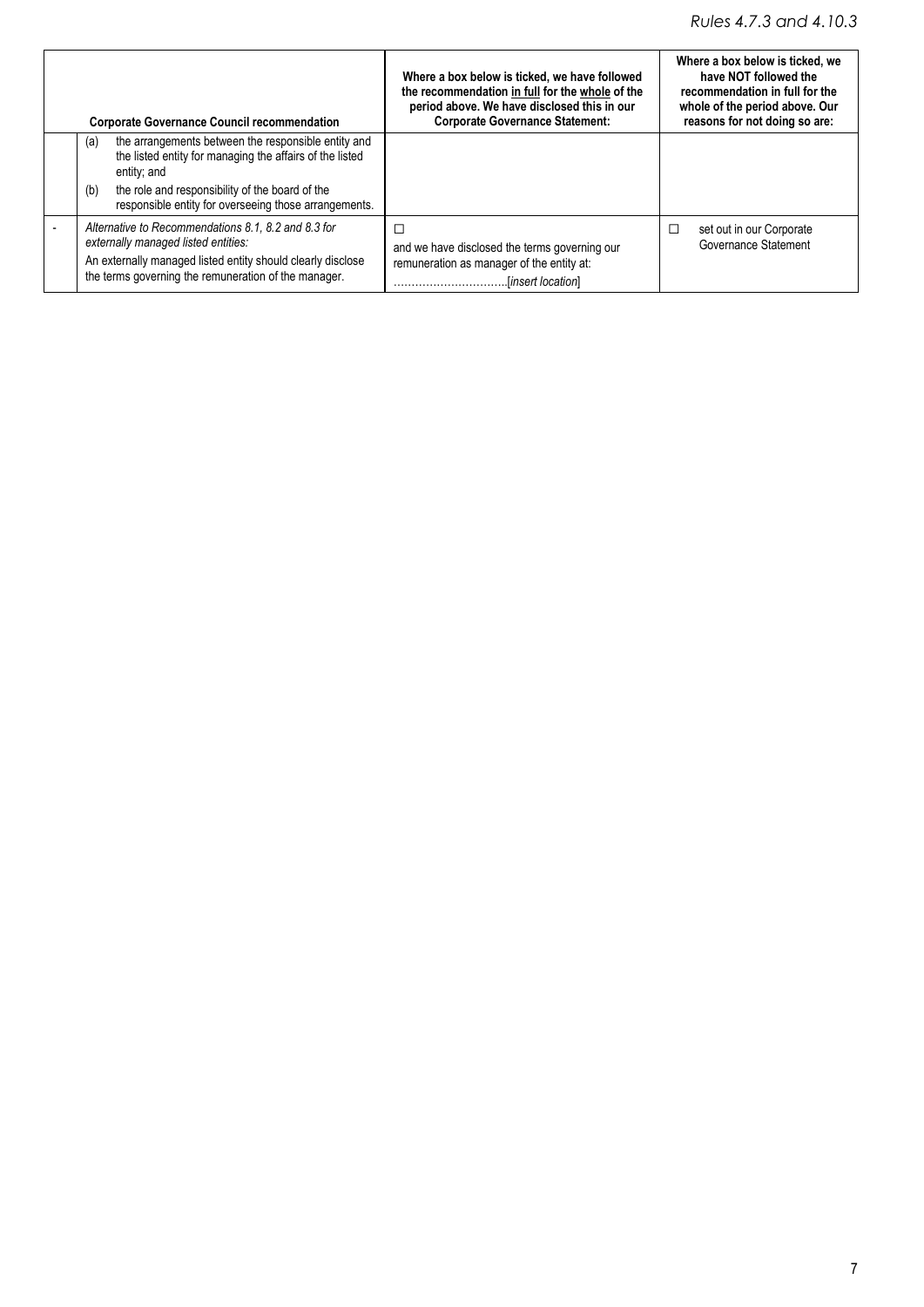### *Rules 4.7.3 and 4.10.3*

| <b>Corporate Governance Council recommendation</b>                                                                                                                                                                                                       | Where a box below is ticked, we have followed<br>the recommendation in full for the whole of the<br>period above. We have disclosed this in our<br><b>Corporate Governance Statement:</b> | Where a box below is ticked, we<br>have NOT followed the<br>recommendation in full for the<br>whole of the period above. Our<br>reasons for not doing so are: |
|----------------------------------------------------------------------------------------------------------------------------------------------------------------------------------------------------------------------------------------------------------|-------------------------------------------------------------------------------------------------------------------------------------------------------------------------------------------|---------------------------------------------------------------------------------------------------------------------------------------------------------------|
| the arrangements between the responsible entity and<br>(a)<br>the listed entity for managing the affairs of the listed<br>entity; and<br>(b)<br>the role and responsibility of the board of the<br>responsible entity for overseeing those arrangements. |                                                                                                                                                                                           |                                                                                                                                                               |
| Alternative to Recommendations 8.1, 8.2 and 8.3 for<br>externally managed listed entities:<br>An externally managed listed entity should clearly disclose<br>the terms governing the remuneration of the manager.                                        | □<br>and we have disclosed the terms governing our<br>remuneration as manager of the entity at:<br>.[insert location].                                                                    | $\Box$<br>set out in our Corporate<br>Governance Statement                                                                                                    |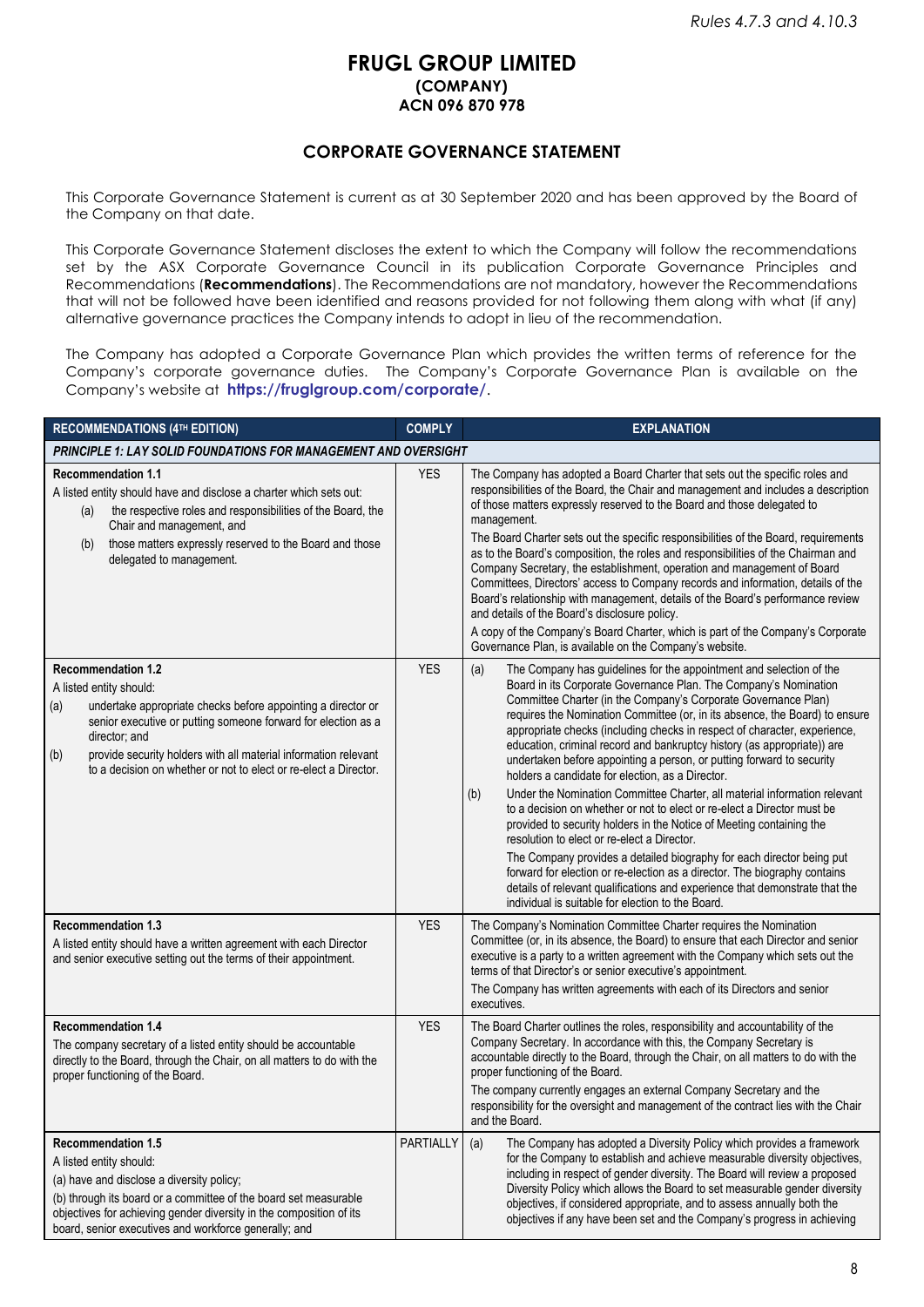#### **FRUGL GROUP LIMITED (COMPANY) ACN 096 870 978**

#### **CORPORATE GOVERNANCE STATEMENT**

This Corporate Governance Statement is current as at 30 September 2020 and has been approved by the Board of the Company on that date.

This Corporate Governance Statement discloses the extent to which the Company will follow the recommendations set by the ASX Corporate Governance Council in its publication Corporate Governance Principles and Recommendations (**Recommendations**). The Recommendations are not mandatory, however the Recommendations that will not be followed have been identified and reasons provided for not following them along with what (if any) alternative governance practices the Company intends to adopt in lieu of the recommendation.

The Company has adopted a Corporate Governance Plan which provides the written terms of reference for the Company's corporate governance duties. The Company's Corporate Governance Plan is available on the Company's website at **<https://fruglgroup.com/corporate/>**.

| <b>RECOMMENDATIONS (4TH EDITION)</b>                                                                                                                                                                                                                                                                                                                        | <b>COMPLY</b> | <b>EXPLANATION</b>                                                                                                                                                                                                                                                                                                                                                                                                                                                                                                                                                                                                                                                                                                                                                                                                                                                                                                                                                                                                                                                                                                                                                   |
|-------------------------------------------------------------------------------------------------------------------------------------------------------------------------------------------------------------------------------------------------------------------------------------------------------------------------------------------------------------|---------------|----------------------------------------------------------------------------------------------------------------------------------------------------------------------------------------------------------------------------------------------------------------------------------------------------------------------------------------------------------------------------------------------------------------------------------------------------------------------------------------------------------------------------------------------------------------------------------------------------------------------------------------------------------------------------------------------------------------------------------------------------------------------------------------------------------------------------------------------------------------------------------------------------------------------------------------------------------------------------------------------------------------------------------------------------------------------------------------------------------------------------------------------------------------------|
| <b>PRINCIPLE 1: LAY SOLID FOUNDATIONS FOR MANAGEMENT AND OVERSIGHT</b>                                                                                                                                                                                                                                                                                      |               |                                                                                                                                                                                                                                                                                                                                                                                                                                                                                                                                                                                                                                                                                                                                                                                                                                                                                                                                                                                                                                                                                                                                                                      |
| <b>Recommendation 1.1</b><br>A listed entity should have and disclose a charter which sets out:<br>the respective roles and responsibilities of the Board, the<br>(a)<br>Chair and management, and<br>those matters expressly reserved to the Board and those<br>(b)<br>delegated to management.                                                            | <b>YES</b>    | The Company has adopted a Board Charter that sets out the specific roles and<br>responsibilities of the Board, the Chair and management and includes a description<br>of those matters expressly reserved to the Board and those delegated to<br>management.<br>The Board Charter sets out the specific responsibilities of the Board, requirements<br>as to the Board's composition, the roles and responsibilities of the Chairman and<br>Company Secretary, the establishment, operation and management of Board<br>Committees, Directors' access to Company records and information, details of the<br>Board's relationship with management, details of the Board's performance review<br>and details of the Board's disclosure policy.<br>A copy of the Company's Board Charter, which is part of the Company's Corporate<br>Governance Plan, is available on the Company's website.                                                                                                                                                                                                                                                                            |
| <b>Recommendation 1.2</b><br>A listed entity should:<br>undertake appropriate checks before appointing a director or<br>(a)<br>senior executive or putting someone forward for election as a<br>director; and<br>provide security holders with all material information relevant<br>(b)<br>to a decision on whether or not to elect or re-elect a Director. | <b>YES</b>    | (a)<br>The Company has guidelines for the appointment and selection of the<br>Board in its Corporate Governance Plan. The Company's Nomination<br>Committee Charter (in the Company's Corporate Governance Plan)<br>requires the Nomination Committee (or, in its absence, the Board) to ensure<br>appropriate checks (including checks in respect of character, experience,<br>education, criminal record and bankruptcy history (as appropriate)) are<br>undertaken before appointing a person, or putting forward to security<br>holders a candidate for election, as a Director.<br>Under the Nomination Committee Charter, all material information relevant<br>(b)<br>to a decision on whether or not to elect or re-elect a Director must be<br>provided to security holders in the Notice of Meeting containing the<br>resolution to elect or re-elect a Director.<br>The Company provides a detailed biography for each director being put<br>forward for election or re-election as a director. The biography contains<br>details of relevant qualifications and experience that demonstrate that the<br>individual is suitable for election to the Board. |
| <b>Recommendation 1.3</b><br>A listed entity should have a written agreement with each Director<br>and senior executive setting out the terms of their appointment.                                                                                                                                                                                         | <b>YES</b>    | The Company's Nomination Committee Charter requires the Nomination<br>Committee (or, in its absence, the Board) to ensure that each Director and senior<br>executive is a party to a written agreement with the Company which sets out the<br>terms of that Director's or senior executive's appointment.<br>The Company has written agreements with each of its Directors and senior<br>executives.                                                                                                                                                                                                                                                                                                                                                                                                                                                                                                                                                                                                                                                                                                                                                                 |
| <b>Recommendation 1.4</b><br>The company secretary of a listed entity should be accountable<br>directly to the Board, through the Chair, on all matters to do with the<br>proper functioning of the Board.                                                                                                                                                  | <b>YES</b>    | The Board Charter outlines the roles, responsibility and accountability of the<br>Company Secretary. In accordance with this, the Company Secretary is<br>accountable directly to the Board, through the Chair, on all matters to do with the<br>proper functioning of the Board.<br>The company currently engages an external Company Secretary and the<br>responsibility for the oversight and management of the contract lies with the Chair<br>and the Board.                                                                                                                                                                                                                                                                                                                                                                                                                                                                                                                                                                                                                                                                                                    |
| <b>Recommendation 1.5</b><br>A listed entity should:<br>(a) have and disclose a diversity policy;<br>(b) through its board or a committee of the board set measurable<br>objectives for achieving gender diversity in the composition of its<br>board, senior executives and workforce generally; and                                                       | PARTIALLY     | The Company has adopted a Diversity Policy which provides a framework<br>(a)<br>for the Company to establish and achieve measurable diversity objectives,<br>including in respect of gender diversity. The Board will review a proposed<br>Diversity Policy which allows the Board to set measurable gender diversity<br>objectives, if considered appropriate, and to assess annually both the<br>objectives if any have been set and the Company's progress in achieving                                                                                                                                                                                                                                                                                                                                                                                                                                                                                                                                                                                                                                                                                           |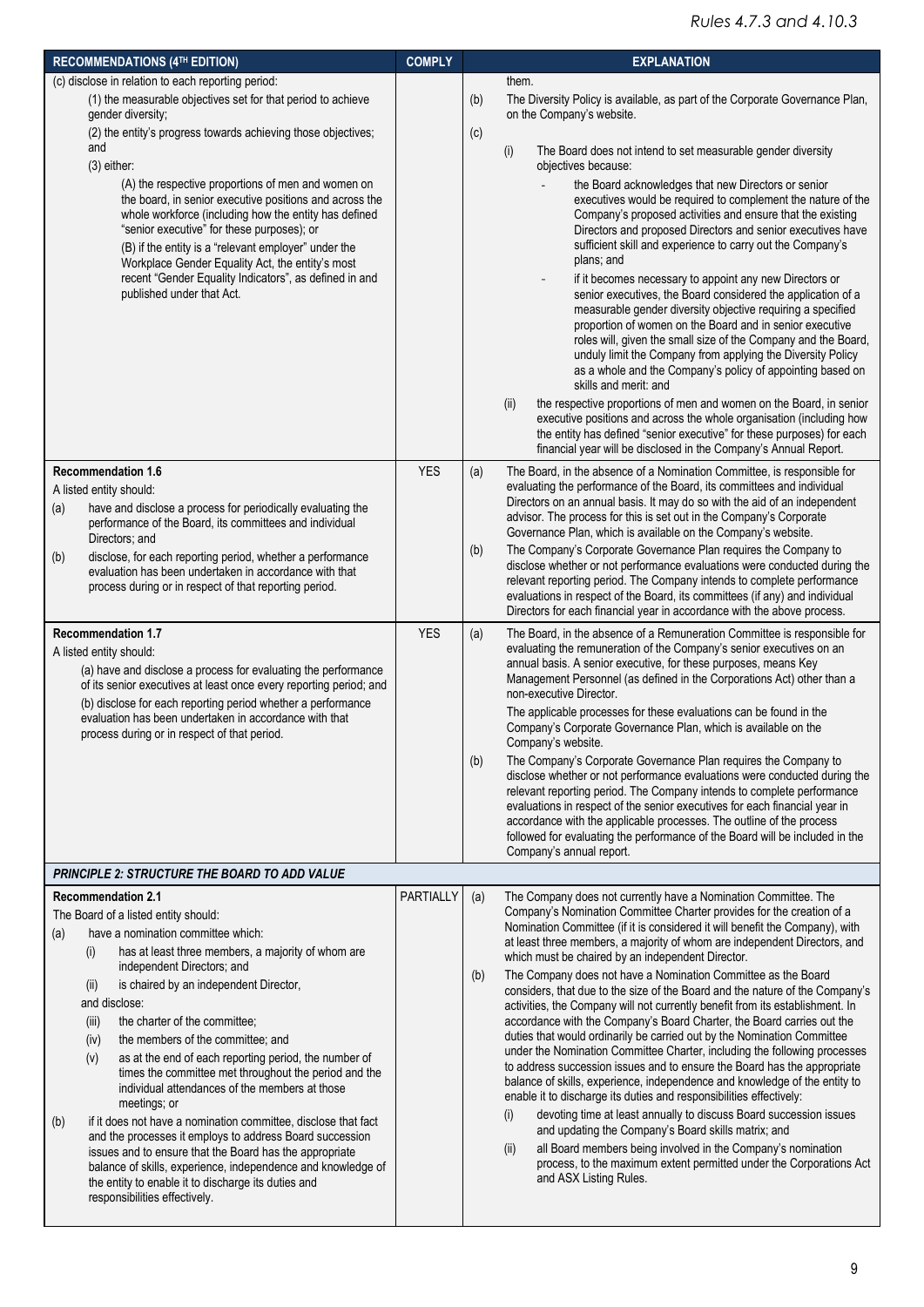| <b>RECOMMENDATIONS (4TH EDITION)</b>                                                                                                                                                                                                                                                                                                                                   | <b>COMPLY</b>    | <b>EXPLANATION</b>                                                                                                                                                                                                                                                                                                                                                                                                                                                                                                                                                                                                                                                                                       |
|------------------------------------------------------------------------------------------------------------------------------------------------------------------------------------------------------------------------------------------------------------------------------------------------------------------------------------------------------------------------|------------------|----------------------------------------------------------------------------------------------------------------------------------------------------------------------------------------------------------------------------------------------------------------------------------------------------------------------------------------------------------------------------------------------------------------------------------------------------------------------------------------------------------------------------------------------------------------------------------------------------------------------------------------------------------------------------------------------------------|
| (c) disclose in relation to each reporting period:                                                                                                                                                                                                                                                                                                                     |                  | them.                                                                                                                                                                                                                                                                                                                                                                                                                                                                                                                                                                                                                                                                                                    |
| (1) the measurable objectives set for that period to achieve<br>gender diversity;                                                                                                                                                                                                                                                                                      |                  | (b)<br>The Diversity Policy is available, as part of the Corporate Governance Plan,<br>on the Company's website.                                                                                                                                                                                                                                                                                                                                                                                                                                                                                                                                                                                         |
| (2) the entity's progress towards achieving those objectives;                                                                                                                                                                                                                                                                                                          |                  | (c)                                                                                                                                                                                                                                                                                                                                                                                                                                                                                                                                                                                                                                                                                                      |
| and<br>$(3)$ either:                                                                                                                                                                                                                                                                                                                                                   |                  | (i)<br>The Board does not intend to set measurable gender diversity<br>objectives because:                                                                                                                                                                                                                                                                                                                                                                                                                                                                                                                                                                                                               |
| (A) the respective proportions of men and women on<br>the board, in senior executive positions and across the<br>whole workforce (including how the entity has defined<br>"senior executive" for these purposes); or<br>(B) if the entity is a "relevant employer" under the<br>Workplace Gender Equality Act, the entity's most                                       |                  | the Board acknowledges that new Directors or senior<br>executives would be required to complement the nature of the<br>Company's proposed activities and ensure that the existing<br>Directors and proposed Directors and senior executives have<br>sufficient skill and experience to carry out the Company's<br>plans; and                                                                                                                                                                                                                                                                                                                                                                             |
| recent "Gender Equality Indicators", as defined in and<br>published under that Act.                                                                                                                                                                                                                                                                                    |                  | if it becomes necessary to appoint any new Directors or<br>senior executives, the Board considered the application of a<br>measurable gender diversity objective requiring a specified<br>proportion of women on the Board and in senior executive<br>roles will, given the small size of the Company and the Board,<br>unduly limit the Company from applying the Diversity Policy<br>as a whole and the Company's policy of appointing based on<br>skills and merit: and                                                                                                                                                                                                                               |
|                                                                                                                                                                                                                                                                                                                                                                        |                  | (ii)<br>the respective proportions of men and women on the Board, in senior<br>executive positions and across the whole organisation (including how<br>the entity has defined "senior executive" for these purposes) for each<br>financial year will be disclosed in the Company's Annual Report.                                                                                                                                                                                                                                                                                                                                                                                                        |
| <b>Recommendation 1.6</b><br>A listed entity should:<br>have and disclose a process for periodically evaluating the<br>(a)<br>performance of the Board, its committees and individual<br>Directors; and                                                                                                                                                                | <b>YES</b>       | The Board, in the absence of a Nomination Committee, is responsible for<br>(a)<br>evaluating the performance of the Board, its committees and individual<br>Directors on an annual basis. It may do so with the aid of an independent<br>advisor. The process for this is set out in the Company's Corporate<br>Governance Plan, which is available on the Company's website.                                                                                                                                                                                                                                                                                                                            |
| disclose, for each reporting period, whether a performance<br>(b)<br>evaluation has been undertaken in accordance with that<br>process during or in respect of that reporting period.                                                                                                                                                                                  |                  | The Company's Corporate Governance Plan requires the Company to<br>(b)<br>disclose whether or not performance evaluations were conducted during the<br>relevant reporting period. The Company intends to complete performance<br>evaluations in respect of the Board, its committees (if any) and individual<br>Directors for each financial year in accordance with the above process.                                                                                                                                                                                                                                                                                                                  |
| <b>Recommendation 1.7</b><br>A listed entity should:<br>(a) have and disclose a process for evaluating the performance<br>of its senior executives at least once every reporting period; and<br>(b) disclose for each reporting period whether a performance<br>evaluation has been undertaken in accordance with that<br>process during or in respect of that period. | <b>YES</b>       | The Board, in the absence of a Remuneration Committee is responsible for<br>(a)<br>evaluating the remuneration of the Company's senior executives on an<br>annual basis. A senior executive, for these purposes, means Key<br>Management Personnel (as defined in the Corporations Act) other than a<br>non-executive Director.<br>The applicable processes for these evaluations can be found in the<br>Company's Corporate Governance Plan, which is available on the<br>Company's website.                                                                                                                                                                                                            |
|                                                                                                                                                                                                                                                                                                                                                                        |                  | (b)<br>The Company's Corporate Governance Plan requires the Company to<br>disclose whether or not performance evaluations were conducted during the<br>relevant reporting period. The Company intends to complete performance<br>evaluations in respect of the senior executives for each financial year in<br>accordance with the applicable processes. The outline of the process<br>followed for evaluating the performance of the Board will be included in the<br>Company's annual report.                                                                                                                                                                                                          |
| <b>PRINCIPLE 2: STRUCTURE THE BOARD TO ADD VALUE</b>                                                                                                                                                                                                                                                                                                                   |                  |                                                                                                                                                                                                                                                                                                                                                                                                                                                                                                                                                                                                                                                                                                          |
| <b>Recommendation 2.1</b>                                                                                                                                                                                                                                                                                                                                              | <b>PARTIALLY</b> | (a)<br>The Company does not currently have a Nomination Committee. The                                                                                                                                                                                                                                                                                                                                                                                                                                                                                                                                                                                                                                   |
| The Board of a listed entity should:<br>have a nomination committee which:<br>(a)<br>has at least three members, a majority of whom are<br>(i)<br>independent Directors; and                                                                                                                                                                                           |                  | Company's Nomination Committee Charter provides for the creation of a<br>Nomination Committee (if it is considered it will benefit the Company), with<br>at least three members, a majority of whom are independent Directors, and<br>which must be chaired by an independent Director.                                                                                                                                                                                                                                                                                                                                                                                                                  |
| is chaired by an independent Director,<br>(ii)<br>and disclose:<br>the charter of the committee;<br>(iii)<br>the members of the committee; and<br>(iv)<br>(v)<br>as at the end of each reporting period, the number of<br>times the committee met throughout the period and the<br>individual attendances of the members at those<br>meetings; or                      |                  | The Company does not have a Nomination Committee as the Board<br>(b)<br>considers, that due to the size of the Board and the nature of the Company's<br>activities, the Company will not currently benefit from its establishment. In<br>accordance with the Company's Board Charter, the Board carries out the<br>duties that would ordinarily be carried out by the Nomination Committee<br>under the Nomination Committee Charter, including the following processes<br>to address succession issues and to ensure the Board has the appropriate<br>balance of skills, experience, independence and knowledge of the entity to<br>enable it to discharge its duties and responsibilities effectively: |
| if it does not have a nomination committee, disclose that fact<br>(b)<br>and the processes it employs to address Board succession<br>issues and to ensure that the Board has the appropriate<br>balance of skills, experience, independence and knowledge of<br>the entity to enable it to discharge its duties and<br>responsibilities effectively.                   |                  | devoting time at least annually to discuss Board succession issues<br>(i)<br>and updating the Company's Board skills matrix; and<br>all Board members being involved in the Company's nomination<br>(ii)<br>process, to the maximum extent permitted under the Corporations Act<br>and ASX Listing Rules.                                                                                                                                                                                                                                                                                                                                                                                                |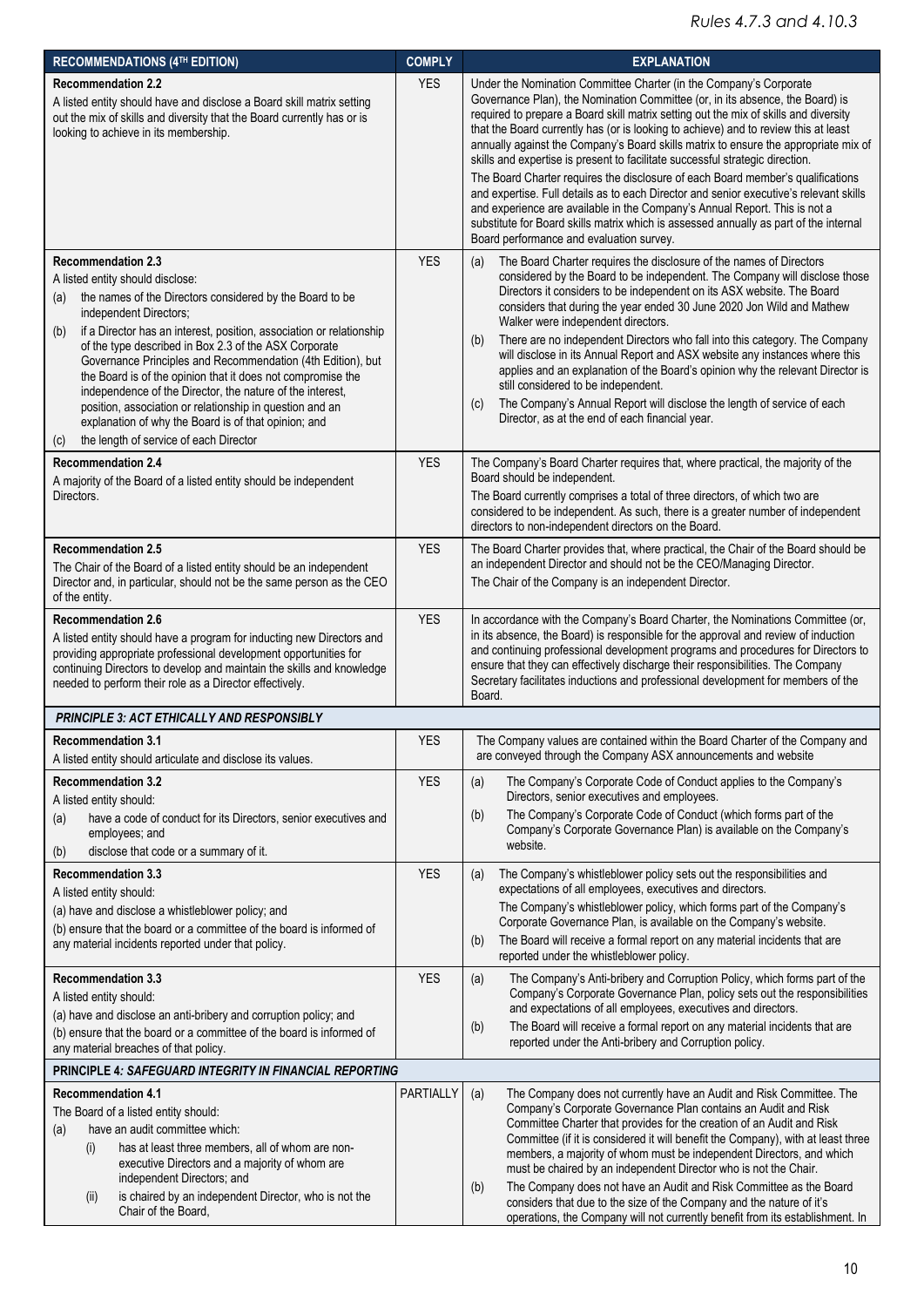| <b>RECOMMENDATIONS (4TH EDITION)</b>                                                                                                                                                                                                                                                                                                                                                                                                                                                                                                                                                                                                                               | <b>COMPLY</b> | <b>EXPLANATION</b>                                                                                                                                                                                                                                                                                                                                                                                                                                                                                                                                                                                                                                                                                                                                                                                                                                                                                         |
|--------------------------------------------------------------------------------------------------------------------------------------------------------------------------------------------------------------------------------------------------------------------------------------------------------------------------------------------------------------------------------------------------------------------------------------------------------------------------------------------------------------------------------------------------------------------------------------------------------------------------------------------------------------------|---------------|------------------------------------------------------------------------------------------------------------------------------------------------------------------------------------------------------------------------------------------------------------------------------------------------------------------------------------------------------------------------------------------------------------------------------------------------------------------------------------------------------------------------------------------------------------------------------------------------------------------------------------------------------------------------------------------------------------------------------------------------------------------------------------------------------------------------------------------------------------------------------------------------------------|
| <b>Recommendation 2.2</b><br>A listed entity should have and disclose a Board skill matrix setting<br>out the mix of skills and diversity that the Board currently has or is<br>looking to achieve in its membership.                                                                                                                                                                                                                                                                                                                                                                                                                                              | <b>YES</b>    | Under the Nomination Committee Charter (in the Company's Corporate<br>Governance Plan), the Nomination Committee (or, in its absence, the Board) is<br>required to prepare a Board skill matrix setting out the mix of skills and diversity<br>that the Board currently has (or is looking to achieve) and to review this at least<br>annually against the Company's Board skills matrix to ensure the appropriate mix of<br>skills and expertise is present to facilitate successful strategic direction.<br>The Board Charter requires the disclosure of each Board member's qualifications<br>and expertise. Full details as to each Director and senior executive's relevant skills<br>and experience are available in the Company's Annual Report. This is not a<br>substitute for Board skills matrix which is assessed annually as part of the internal<br>Board performance and evaluation survey. |
| <b>Recommendation 2.3</b><br>A listed entity should disclose:<br>the names of the Directors considered by the Board to be<br>(a)<br>independent Directors;<br>if a Director has an interest, position, association or relationship<br>(b)<br>of the type described in Box 2.3 of the ASX Corporate<br>Governance Principles and Recommendation (4th Edition), but<br>the Board is of the opinion that it does not compromise the<br>independence of the Director, the nature of the interest,<br>position, association or relationship in question and an<br>explanation of why the Board is of that opinion; and<br>the length of service of each Director<br>(c) | <b>YES</b>    | The Board Charter requires the disclosure of the names of Directors<br>(a)<br>considered by the Board to be independent. The Company will disclose those<br>Directors it considers to be independent on its ASX website. The Board<br>considers that during the year ended 30 June 2020 Jon Wild and Mathew<br>Walker were independent directors.<br>There are no independent Directors who fall into this category. The Company<br>(b)<br>will disclose in its Annual Report and ASX website any instances where this<br>applies and an explanation of the Board's opinion why the relevant Director is<br>still considered to be independent.<br>The Company's Annual Report will disclose the length of service of each<br>(c)<br>Director, as at the end of each financial year.                                                                                                                       |
| <b>Recommendation 2.4</b><br>A majority of the Board of a listed entity should be independent<br>Directors.                                                                                                                                                                                                                                                                                                                                                                                                                                                                                                                                                        | <b>YES</b>    | The Company's Board Charter requires that, where practical, the majority of the<br>Board should be independent.<br>The Board currently comprises a total of three directors, of which two are<br>considered to be independent. As such, there is a greater number of independent<br>directors to non-independent directors on the Board.                                                                                                                                                                                                                                                                                                                                                                                                                                                                                                                                                                   |
| <b>Recommendation 2.5</b><br>The Chair of the Board of a listed entity should be an independent<br>Director and, in particular, should not be the same person as the CEO<br>of the entity.                                                                                                                                                                                                                                                                                                                                                                                                                                                                         | <b>YES</b>    | The Board Charter provides that, where practical, the Chair of the Board should be<br>an independent Director and should not be the CEO/Managing Director.<br>The Chair of the Company is an independent Director.                                                                                                                                                                                                                                                                                                                                                                                                                                                                                                                                                                                                                                                                                         |
| <b>Recommendation 2.6</b><br>A listed entity should have a program for inducting new Directors and<br>providing appropriate professional development opportunities for<br>continuing Directors to develop and maintain the skills and knowledge<br>needed to perform their role as a Director effectively.                                                                                                                                                                                                                                                                                                                                                         | <b>YES</b>    | In accordance with the Company's Board Charter, the Nominations Committee (or,<br>in its absence, the Board) is responsible for the approval and review of induction<br>and continuing professional development programs and procedures for Directors to<br>ensure that they can effectively discharge their responsibilities. The Company<br>Secretary facilitates inductions and professional development for members of the<br>Board.                                                                                                                                                                                                                                                                                                                                                                                                                                                                   |
| PRINCIPLE 3: ACT ETHICALLY AND RESPONSIBLY                                                                                                                                                                                                                                                                                                                                                                                                                                                                                                                                                                                                                         |               |                                                                                                                                                                                                                                                                                                                                                                                                                                                                                                                                                                                                                                                                                                                                                                                                                                                                                                            |
| <b>Recommendation 3.1</b><br>A listed entity should articulate and disclose its values.                                                                                                                                                                                                                                                                                                                                                                                                                                                                                                                                                                            | <b>YES</b>    | The Company values are contained within the Board Charter of the Company and<br>are conveyed through the Company ASX announcements and website                                                                                                                                                                                                                                                                                                                                                                                                                                                                                                                                                                                                                                                                                                                                                             |
| <b>Recommendation 3.2</b><br>A listed entity should:<br>have a code of conduct for its Directors, senior executives and<br>(a)<br>employees; and<br>disclose that code or a summary of it.<br>(b)                                                                                                                                                                                                                                                                                                                                                                                                                                                                  | <b>YES</b>    | The Company's Corporate Code of Conduct applies to the Company's<br>(a)<br>Directors, senior executives and employees.<br>The Company's Corporate Code of Conduct (which forms part of the<br>(b)<br>Company's Corporate Governance Plan) is available on the Company's<br>website.                                                                                                                                                                                                                                                                                                                                                                                                                                                                                                                                                                                                                        |
| <b>Recommendation 3.3</b><br>A listed entity should:<br>(a) have and disclose a whistleblower policy; and<br>(b) ensure that the board or a committee of the board is informed of<br>any material incidents reported under that policy.                                                                                                                                                                                                                                                                                                                                                                                                                            | <b>YES</b>    | The Company's whistleblower policy sets out the responsibilities and<br>(a)<br>expectations of all employees, executives and directors.<br>The Company's whistleblower policy, which forms part of the Company's<br>Corporate Governance Plan, is available on the Company's website.<br>The Board will receive a formal report on any material incidents that are<br>(b)<br>reported under the whistleblower policy.                                                                                                                                                                                                                                                                                                                                                                                                                                                                                      |
| <b>Recommendation 3.3</b><br>A listed entity should:<br>(a) have and disclose an anti-bribery and corruption policy; and<br>(b) ensure that the board or a committee of the board is informed of<br>any material breaches of that policy.                                                                                                                                                                                                                                                                                                                                                                                                                          | <b>YES</b>    | The Company's Anti-bribery and Corruption Policy, which forms part of the<br>(a)<br>Company's Corporate Governance Plan, policy sets out the responsibilities<br>and expectations of all employees, executives and directors.<br>The Board will receive a formal report on any material incidents that are<br>(b)<br>reported under the Anti-bribery and Corruption policy.                                                                                                                                                                                                                                                                                                                                                                                                                                                                                                                                |
| <b>PRINCIPLE 4: SAFEGUARD INTEGRITY IN FINANCIAL REPORTING</b>                                                                                                                                                                                                                                                                                                                                                                                                                                                                                                                                                                                                     |               |                                                                                                                                                                                                                                                                                                                                                                                                                                                                                                                                                                                                                                                                                                                                                                                                                                                                                                            |
| <b>Recommendation 4.1</b><br>The Board of a listed entity should:<br>have an audit committee which:<br>(a)<br>has at least three members, all of whom are non-<br>(i)<br>executive Directors and a majority of whom are<br>independent Directors; and<br>is chaired by an independent Director, who is not the<br>(ii)<br>Chair of the Board,                                                                                                                                                                                                                                                                                                                      | PARTIALLY     | The Company does not currently have an Audit and Risk Committee. The<br>(a)<br>Company's Corporate Governance Plan contains an Audit and Risk<br>Committee Charter that provides for the creation of an Audit and Risk<br>Committee (if it is considered it will benefit the Company), with at least three<br>members, a majority of whom must be independent Directors, and which<br>must be chaired by an independent Director who is not the Chair.<br>The Company does not have an Audit and Risk Committee as the Board<br>(b)<br>considers that due to the size of the Company and the nature of it's<br>operations, the Company will not currently benefit from its establishment. In                                                                                                                                                                                                               |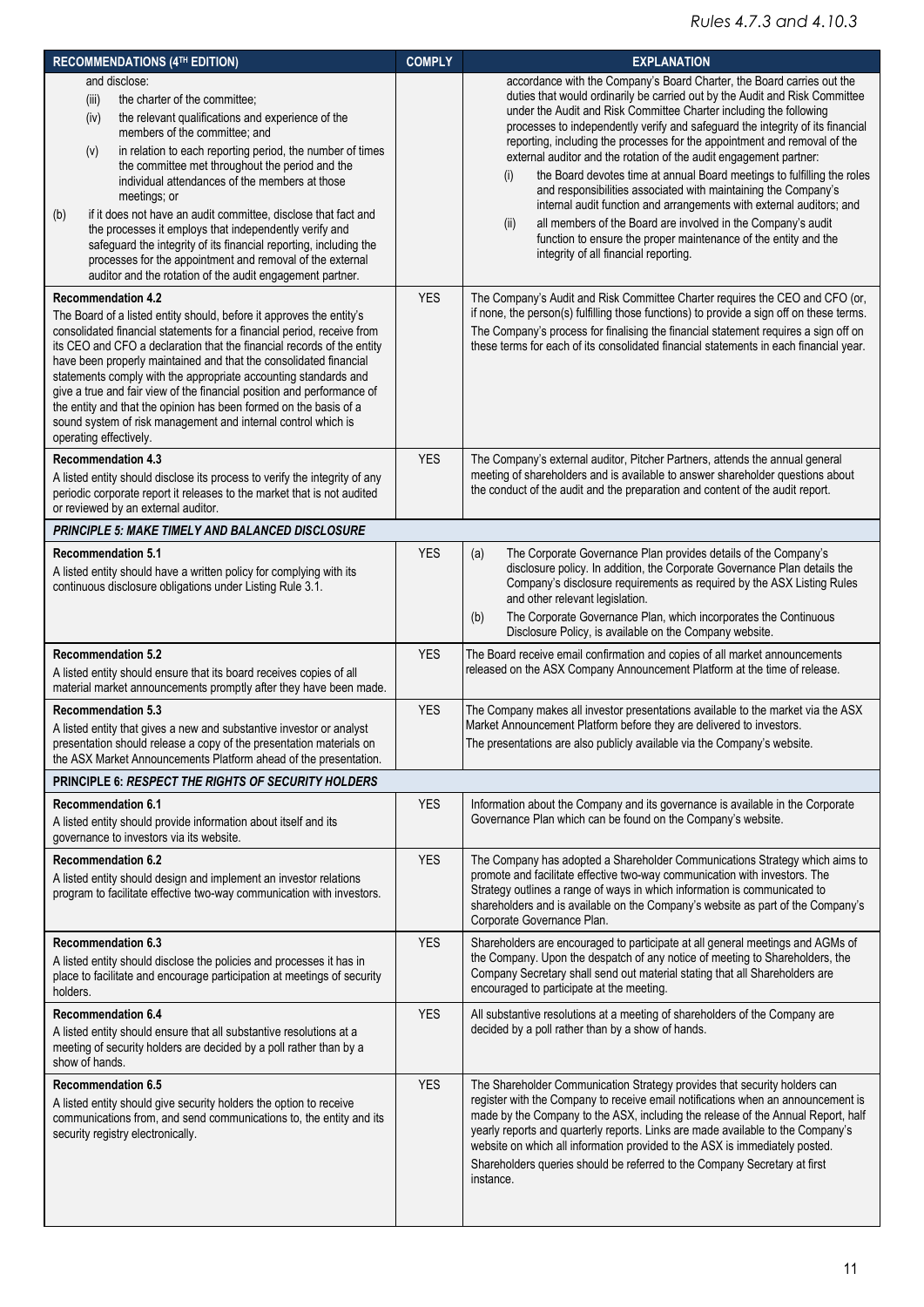| <b>RECOMMENDATIONS (4TH EDITION)</b>                                                                                                                                                                                                                                                                                                                                                                                                                                                                                                                                                                                                                                             | <b>COMPLY</b> | <b>EXPLANATION</b>                                                                                                                                                                                                                                                                                                                                                                                                                                                                                                                                                                                                                                                                                                                                                                                                                                                               |
|----------------------------------------------------------------------------------------------------------------------------------------------------------------------------------------------------------------------------------------------------------------------------------------------------------------------------------------------------------------------------------------------------------------------------------------------------------------------------------------------------------------------------------------------------------------------------------------------------------------------------------------------------------------------------------|---------------|----------------------------------------------------------------------------------------------------------------------------------------------------------------------------------------------------------------------------------------------------------------------------------------------------------------------------------------------------------------------------------------------------------------------------------------------------------------------------------------------------------------------------------------------------------------------------------------------------------------------------------------------------------------------------------------------------------------------------------------------------------------------------------------------------------------------------------------------------------------------------------|
| and disclose:<br>the charter of the committee;<br>(iii)<br>the relevant qualifications and experience of the<br>(iv)<br>members of the committee: and<br>in relation to each reporting period, the number of times<br>(v)<br>the committee met throughout the period and the<br>individual attendances of the members at those<br>meetings; or<br>if it does not have an audit committee, disclose that fact and<br>(b)<br>the processes it employs that independently verify and<br>safeguard the integrity of its financial reporting, including the<br>processes for the appointment and removal of the external<br>auditor and the rotation of the audit engagement partner. |               | accordance with the Company's Board Charter, the Board carries out the<br>duties that would ordinarily be carried out by the Audit and Risk Committee<br>under the Audit and Risk Committee Charter including the following<br>processes to independently verify and safeguard the integrity of its financial<br>reporting, including the processes for the appointment and removal of the<br>external auditor and the rotation of the audit engagement partner:<br>the Board devotes time at annual Board meetings to fulfilling the roles<br>(i)<br>and responsibilities associated with maintaining the Company's<br>internal audit function and arrangements with external auditors; and<br>all members of the Board are involved in the Company's audit<br>(ii)<br>function to ensure the proper maintenance of the entity and the<br>integrity of all financial reporting. |
| <b>Recommendation 4.2</b><br>The Board of a listed entity should, before it approves the entity's<br>consolidated financial statements for a financial period, receive from<br>its CEO and CFO a declaration that the financial records of the entity<br>have been properly maintained and that the consolidated financial<br>statements comply with the appropriate accounting standards and<br>give a true and fair view of the financial position and performance of<br>the entity and that the opinion has been formed on the basis of a<br>sound system of risk management and internal control which is<br>operating effectively.                                          | <b>YES</b>    | The Company's Audit and Risk Committee Charter requires the CEO and CFO (or,<br>if none, the person(s) fulfilling those functions) to provide a sign off on these terms.<br>The Company's process for finalising the financial statement requires a sign off on<br>these terms for each of its consolidated financial statements in each financial year.                                                                                                                                                                                                                                                                                                                                                                                                                                                                                                                         |
| <b>Recommendation 4.3</b><br>A listed entity should disclose its process to verify the integrity of any<br>periodic corporate report it releases to the market that is not audited<br>or reviewed by an external auditor.                                                                                                                                                                                                                                                                                                                                                                                                                                                        | <b>YES</b>    | The Company's external auditor, Pitcher Partners, attends the annual general<br>meeting of shareholders and is available to answer shareholder questions about<br>the conduct of the audit and the preparation and content of the audit report.                                                                                                                                                                                                                                                                                                                                                                                                                                                                                                                                                                                                                                  |
| PRINCIPLE 5: MAKE TIMELY AND BALANCED DISCLOSURE                                                                                                                                                                                                                                                                                                                                                                                                                                                                                                                                                                                                                                 |               |                                                                                                                                                                                                                                                                                                                                                                                                                                                                                                                                                                                                                                                                                                                                                                                                                                                                                  |
| <b>Recommendation 5.1</b><br>A listed entity should have a written policy for complying with its<br>continuous disclosure obligations under Listing Rule 3.1.                                                                                                                                                                                                                                                                                                                                                                                                                                                                                                                    | <b>YES</b>    | The Corporate Governance Plan provides details of the Company's<br>(a)<br>disclosure policy. In addition, the Corporate Governance Plan details the<br>Company's disclosure requirements as required by the ASX Listing Rules<br>and other relevant legislation.<br>The Corporate Governance Plan, which incorporates the Continuous<br>(b)<br>Disclosure Policy, is available on the Company website.                                                                                                                                                                                                                                                                                                                                                                                                                                                                           |
| <b>Recommendation 5.2</b><br>A listed entity should ensure that its board receives copies of all<br>material market announcements promptly after they have been made.                                                                                                                                                                                                                                                                                                                                                                                                                                                                                                            | <b>YES</b>    | The Board receive email confirmation and copies of all market announcements<br>released on the ASX Company Announcement Platform at the time of release.                                                                                                                                                                                                                                                                                                                                                                                                                                                                                                                                                                                                                                                                                                                         |
| <b>Recommendation 5.3</b><br>A listed entity that gives a new and substantive investor or analyst<br>presentation should release a copy of the presentation materials on<br>the ASX Market Announcements Platform ahead of the presentation.                                                                                                                                                                                                                                                                                                                                                                                                                                     | <b>YES</b>    | The Company makes all investor presentations available to the market via the ASX<br>Market Announcement Platform before they are delivered to investors.<br>The presentations are also publicly available via the Company's website.                                                                                                                                                                                                                                                                                                                                                                                                                                                                                                                                                                                                                                             |
| PRINCIPLE 6: RESPECT THE RIGHTS OF SECURITY HOLDERS                                                                                                                                                                                                                                                                                                                                                                                                                                                                                                                                                                                                                              |               |                                                                                                                                                                                                                                                                                                                                                                                                                                                                                                                                                                                                                                                                                                                                                                                                                                                                                  |
| <b>Recommendation 6.1</b><br>A listed entity should provide information about itself and its<br>governance to investors via its website.                                                                                                                                                                                                                                                                                                                                                                                                                                                                                                                                         | <b>YES</b>    | Information about the Company and its governance is available in the Corporate<br>Governance Plan which can be found on the Company's website.                                                                                                                                                                                                                                                                                                                                                                                                                                                                                                                                                                                                                                                                                                                                   |
| <b>Recommendation 6.2</b><br>A listed entity should design and implement an investor relations<br>program to facilitate effective two-way communication with investors.                                                                                                                                                                                                                                                                                                                                                                                                                                                                                                          | <b>YES</b>    | The Company has adopted a Shareholder Communications Strategy which aims to<br>promote and facilitate effective two-way communication with investors. The<br>Strategy outlines a range of ways in which information is communicated to<br>shareholders and is available on the Company's website as part of the Company's<br>Corporate Governance Plan.                                                                                                                                                                                                                                                                                                                                                                                                                                                                                                                          |
| <b>Recommendation 6.3</b><br>A listed entity should disclose the policies and processes it has in<br>place to facilitate and encourage participation at meetings of security<br>holders.                                                                                                                                                                                                                                                                                                                                                                                                                                                                                         | <b>YES</b>    | Shareholders are encouraged to participate at all general meetings and AGMs of<br>the Company. Upon the despatch of any notice of meeting to Shareholders, the<br>Company Secretary shall send out material stating that all Shareholders are<br>encouraged to participate at the meeting.                                                                                                                                                                                                                                                                                                                                                                                                                                                                                                                                                                                       |
| <b>Recommendation 6.4</b><br>A listed entity should ensure that all substantive resolutions at a<br>meeting of security holders are decided by a poll rather than by a<br>show of hands.                                                                                                                                                                                                                                                                                                                                                                                                                                                                                         | <b>YES</b>    | All substantive resolutions at a meeting of shareholders of the Company are<br>decided by a poll rather than by a show of hands.                                                                                                                                                                                                                                                                                                                                                                                                                                                                                                                                                                                                                                                                                                                                                 |
| <b>Recommendation 6.5</b><br>A listed entity should give security holders the option to receive<br>communications from, and send communications to, the entity and its<br>security registry electronically.                                                                                                                                                                                                                                                                                                                                                                                                                                                                      | <b>YES</b>    | The Shareholder Communication Strategy provides that security holders can<br>register with the Company to receive email notifications when an announcement is<br>made by the Company to the ASX, including the release of the Annual Report, half<br>yearly reports and quarterly reports. Links are made available to the Company's<br>website on which all information provided to the ASX is immediately posted.<br>Shareholders queries should be referred to the Company Secretary at first<br>instance.                                                                                                                                                                                                                                                                                                                                                                    |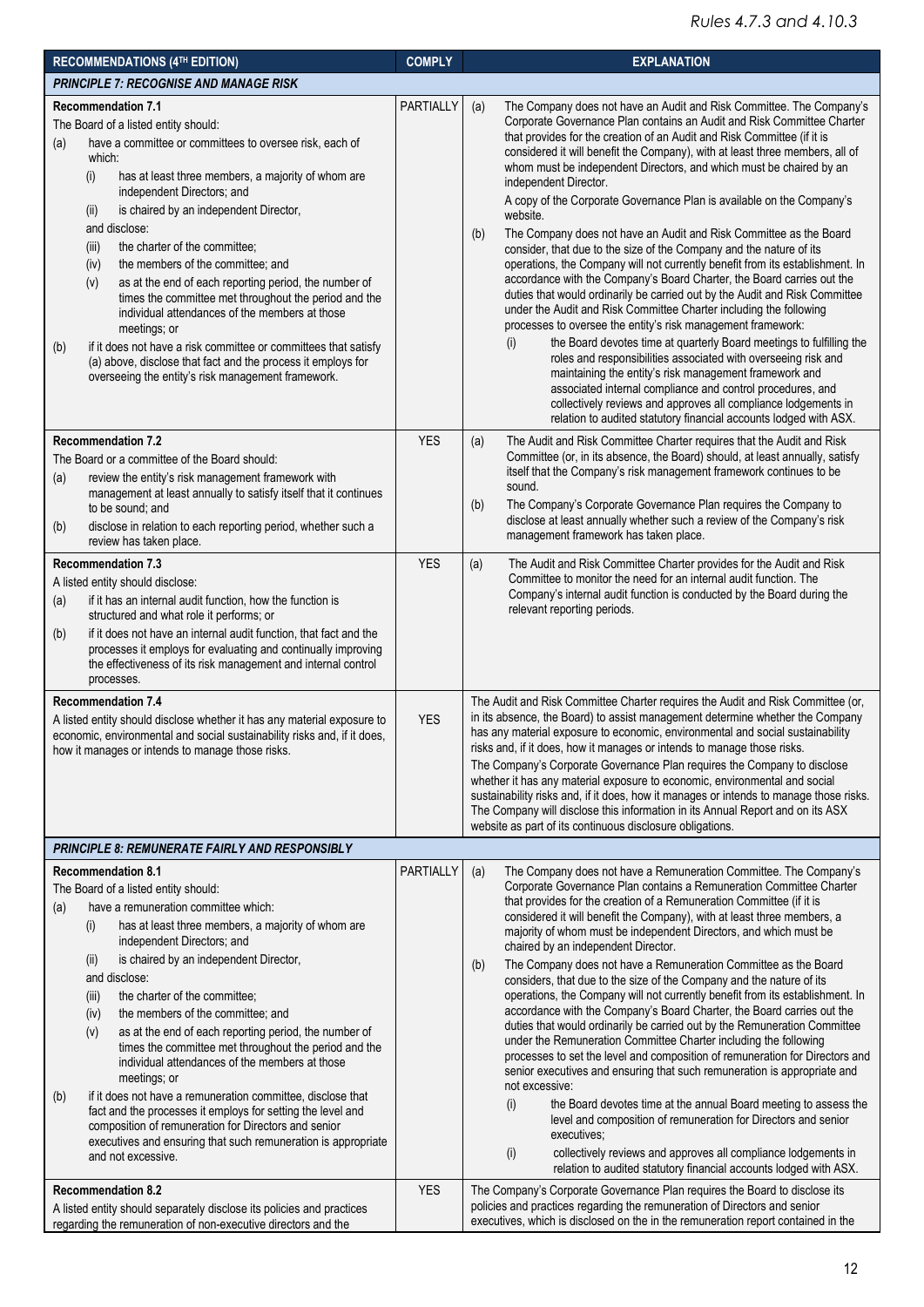| <b>RECOMMENDATIONS (4TH EDITION)</b>                                                                                                                                                                                                                                                                                                                                                                                                                                                                                                                                                                                                                                                                                                                                                                                                                 | <b>COMPLY</b> | <b>EXPLANATION</b>                                                                                                                                                                                                                                                                                                                                                                                                                                                                                                                                                                                                                                                                                                                                                                                                                                                                                                                                                                                                                                                                                                                                                                                                                                                                                                                                                                                                                                        |
|------------------------------------------------------------------------------------------------------------------------------------------------------------------------------------------------------------------------------------------------------------------------------------------------------------------------------------------------------------------------------------------------------------------------------------------------------------------------------------------------------------------------------------------------------------------------------------------------------------------------------------------------------------------------------------------------------------------------------------------------------------------------------------------------------------------------------------------------------|---------------|-----------------------------------------------------------------------------------------------------------------------------------------------------------------------------------------------------------------------------------------------------------------------------------------------------------------------------------------------------------------------------------------------------------------------------------------------------------------------------------------------------------------------------------------------------------------------------------------------------------------------------------------------------------------------------------------------------------------------------------------------------------------------------------------------------------------------------------------------------------------------------------------------------------------------------------------------------------------------------------------------------------------------------------------------------------------------------------------------------------------------------------------------------------------------------------------------------------------------------------------------------------------------------------------------------------------------------------------------------------------------------------------------------------------------------------------------------------|
| PRINCIPLE 7: RECOGNISE AND MANAGE RISK                                                                                                                                                                                                                                                                                                                                                                                                                                                                                                                                                                                                                                                                                                                                                                                                               |               |                                                                                                                                                                                                                                                                                                                                                                                                                                                                                                                                                                                                                                                                                                                                                                                                                                                                                                                                                                                                                                                                                                                                                                                                                                                                                                                                                                                                                                                           |
| <b>Recommendation 7.1</b><br>The Board of a listed entity should:<br>have a committee or committees to oversee risk, each of<br>(a)<br>which:<br>has at least three members, a majority of whom are<br>(i)<br>independent Directors; and<br>is chaired by an independent Director,<br>(II)<br>and disclose:<br>the charter of the committee;<br>(iii)<br>the members of the committee; and<br>(iv)<br>as at the end of each reporting period, the number of<br>(v)<br>times the committee met throughout the period and the<br>individual attendances of the members at those<br>meetings; or<br>if it does not have a risk committee or committees that satisfy<br>(b)<br>(a) above, disclose that fact and the process it employs for<br>overseeing the entity's risk management framework.                                                        | PARTIALLY     | The Company does not have an Audit and Risk Committee. The Company's<br>(a)<br>Corporate Governance Plan contains an Audit and Risk Committee Charter<br>that provides for the creation of an Audit and Risk Committee (if it is<br>considered it will benefit the Company), with at least three members, all of<br>whom must be independent Directors, and which must be chaired by an<br>independent Director.<br>A copy of the Corporate Governance Plan is available on the Company's<br>website.<br>The Company does not have an Audit and Risk Committee as the Board<br>(b)<br>consider, that due to the size of the Company and the nature of its<br>operations, the Company will not currently benefit from its establishment. In<br>accordance with the Company's Board Charter, the Board carries out the<br>duties that would ordinarily be carried out by the Audit and Risk Committee<br>under the Audit and Risk Committee Charter including the following<br>processes to oversee the entity's risk management framework:<br>the Board devotes time at quarterly Board meetings to fulfilling the<br>(i)<br>roles and responsibilities associated with overseeing risk and<br>maintaining the entity's risk management framework and<br>associated internal compliance and control procedures, and<br>collectively reviews and approves all compliance lodgements in<br>relation to audited statutory financial accounts lodged with ASX. |
| <b>Recommendation 7.2</b><br>The Board or a committee of the Board should:<br>review the entity's risk management framework with<br>(a)<br>management at least annually to satisfy itself that it continues<br>to be sound; and<br>disclose in relation to each reporting period, whether such a<br>(b)<br>review has taken place.                                                                                                                                                                                                                                                                                                                                                                                                                                                                                                                   | <b>YES</b>    | The Audit and Risk Committee Charter requires that the Audit and Risk<br>(a)<br>Committee (or, in its absence, the Board) should, at least annually, satisfy<br>itself that the Company's risk management framework continues to be<br>sound.<br>The Company's Corporate Governance Plan requires the Company to<br>(b)<br>disclose at least annually whether such a review of the Company's risk<br>management framework has taken place.                                                                                                                                                                                                                                                                                                                                                                                                                                                                                                                                                                                                                                                                                                                                                                                                                                                                                                                                                                                                                |
| <b>Recommendation 7.3</b><br>A listed entity should disclose:<br>if it has an internal audit function, how the function is<br>(a)<br>structured and what role it performs; or<br>if it does not have an internal audit function, that fact and the<br>(b)<br>processes it employs for evaluating and continually improving<br>the effectiveness of its risk management and internal control<br>processes.                                                                                                                                                                                                                                                                                                                                                                                                                                            | <b>YES</b>    | The Audit and Risk Committee Charter provides for the Audit and Risk<br>(a)<br>Committee to monitor the need for an internal audit function. The<br>Company's internal audit function is conducted by the Board during the<br>relevant reporting periods.                                                                                                                                                                                                                                                                                                                                                                                                                                                                                                                                                                                                                                                                                                                                                                                                                                                                                                                                                                                                                                                                                                                                                                                                 |
| <b>Recommendation 7.4</b><br>A listed entity should disclose whether it has any material exposure to<br>economic, environmental and social sustainability risks and, if it does,<br>how it manages or intends to manage those risks.                                                                                                                                                                                                                                                                                                                                                                                                                                                                                                                                                                                                                 | <b>YES</b>    | The Audit and Risk Committee Charter requires the Audit and Risk Committee (or,<br>in its absence, the Board) to assist management determine whether the Company<br>has any material exposure to economic, environmental and social sustainability<br>risks and, if it does, how it manages or intends to manage those risks.<br>The Company's Corporate Governance Plan requires the Company to disclose<br>whether it has any material exposure to economic, environmental and social<br>sustainability risks and, if it does, how it manages or intends to manage those risks.<br>The Company will disclose this information in its Annual Report and on its ASX<br>website as part of its continuous disclosure obligations.                                                                                                                                                                                                                                                                                                                                                                                                                                                                                                                                                                                                                                                                                                                          |
| <b>PRINCIPLE 8: REMUNERATE FAIRLY AND RESPONSIBLY</b>                                                                                                                                                                                                                                                                                                                                                                                                                                                                                                                                                                                                                                                                                                                                                                                                |               |                                                                                                                                                                                                                                                                                                                                                                                                                                                                                                                                                                                                                                                                                                                                                                                                                                                                                                                                                                                                                                                                                                                                                                                                                                                                                                                                                                                                                                                           |
| <b>Recommendation 8.1</b><br>The Board of a listed entity should:<br>have a remuneration committee which:<br>(a)<br>has at least three members, a majority of whom are<br>(i)<br>independent Directors; and<br>is chaired by an independent Director,<br>(ii)<br>and disclose:<br>the charter of the committee;<br>(iii)<br>the members of the committee; and<br>(iv)<br>as at the end of each reporting period, the number of<br>(v)<br>times the committee met throughout the period and the<br>individual attendances of the members at those<br>meetings; or<br>if it does not have a remuneration committee, disclose that<br>(b)<br>fact and the processes it employs for setting the level and<br>composition of remuneration for Directors and senior<br>executives and ensuring that such remuneration is appropriate<br>and not excessive. | PARTIALLY     | The Company does not have a Remuneration Committee. The Company's<br>(a)<br>Corporate Governance Plan contains a Remuneration Committee Charter<br>that provides for the creation of a Remuneration Committee (if it is<br>considered it will benefit the Company), with at least three members, a<br>majority of whom must be independent Directors, and which must be<br>chaired by an independent Director.<br>The Company does not have a Remuneration Committee as the Board<br>(b)<br>considers, that due to the size of the Company and the nature of its<br>operations, the Company will not currently benefit from its establishment. In<br>accordance with the Company's Board Charter, the Board carries out the<br>duties that would ordinarily be carried out by the Remuneration Committee<br>under the Remuneration Committee Charter including the following<br>processes to set the level and composition of remuneration for Directors and<br>senior executives and ensuring that such remuneration is appropriate and<br>not excessive:<br>the Board devotes time at the annual Board meeting to assess the<br>(i)<br>level and composition of remuneration for Directors and senior<br>executives;<br>collectively reviews and approves all compliance lodgements in<br>(i)<br>relation to audited statutory financial accounts lodged with ASX.                                                                                      |
| <b>Recommendation 8.2</b><br>A listed entity should separately disclose its policies and practices<br>regarding the remuneration of non-executive directors and the                                                                                                                                                                                                                                                                                                                                                                                                                                                                                                                                                                                                                                                                                  | <b>YES</b>    | The Company's Corporate Governance Plan requires the Board to disclose its<br>policies and practices regarding the remuneration of Directors and senior<br>executives, which is disclosed on the in the remuneration report contained in the                                                                                                                                                                                                                                                                                                                                                                                                                                                                                                                                                                                                                                                                                                                                                                                                                                                                                                                                                                                                                                                                                                                                                                                                              |